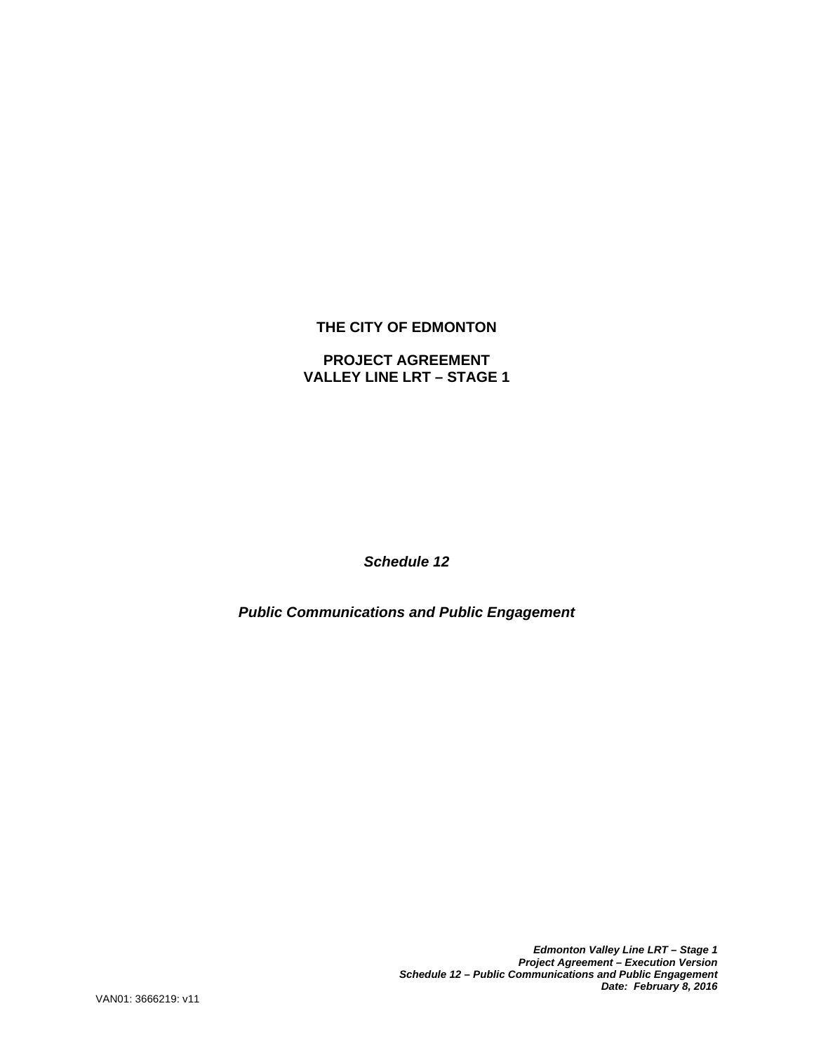# **THE CITY OF EDMONTON**

# **PROJECT AGREEMENT VALLEY LINE LRT – STAGE 1**

*Schedule 12* 

*Public Communications and Public Engagement*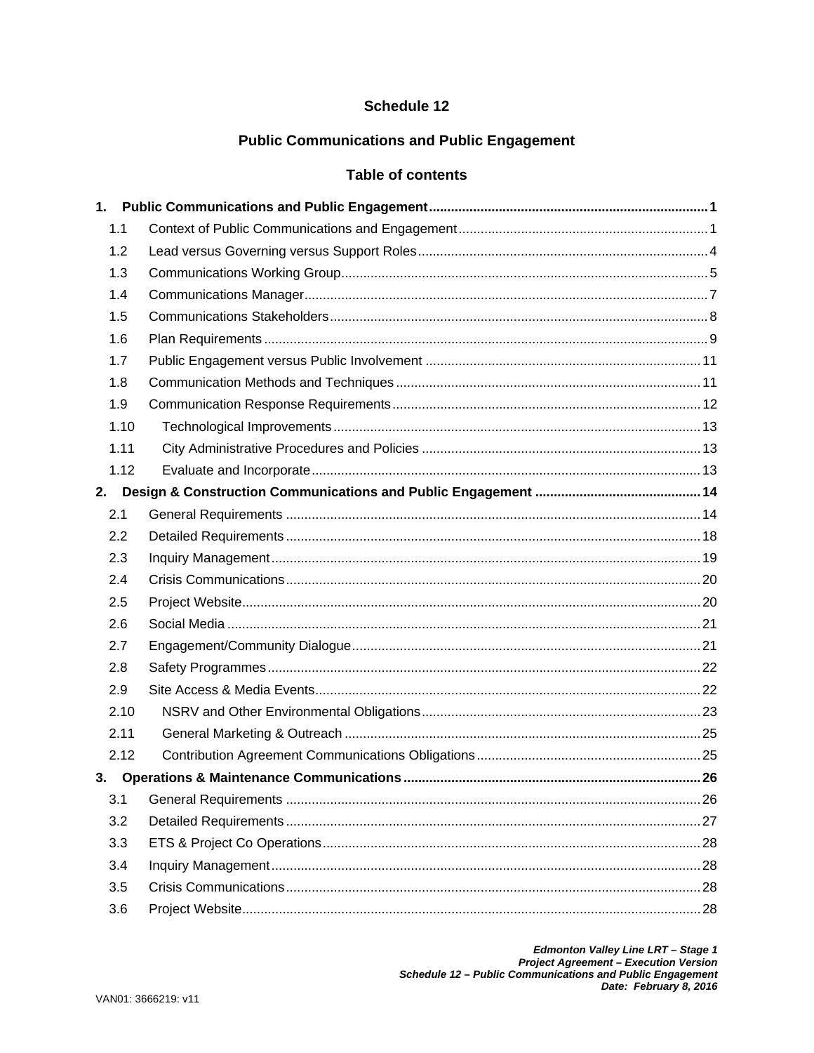# Schedule 12

# **Public Communications and Public Engagement**

# **Table of contents**

| 1.1  |      |  |
|------|------|--|
| 1.2  |      |  |
| 1.3  |      |  |
| 1.4  |      |  |
| 1.5  |      |  |
| 1.6  |      |  |
| 1.7  |      |  |
| 1.8  |      |  |
| 1.9  |      |  |
|      | 1.10 |  |
| 1.11 |      |  |
|      | 1.12 |  |
| 2.   |      |  |
| 2.1  |      |  |
| 2.2  |      |  |
| 2.3  |      |  |
| 2.4  |      |  |
| 2.5  |      |  |
| 2.6  |      |  |
| 2.7  |      |  |
| 2.8  |      |  |
| 2.9  |      |  |
|      | 2.10 |  |
| 2.11 |      |  |
|      | 2.12 |  |
| 3.   |      |  |
| 3.1  |      |  |
| 3.2  |      |  |
| 3.3  |      |  |
| 3.4  |      |  |
| 3.5  |      |  |
| 3.6  |      |  |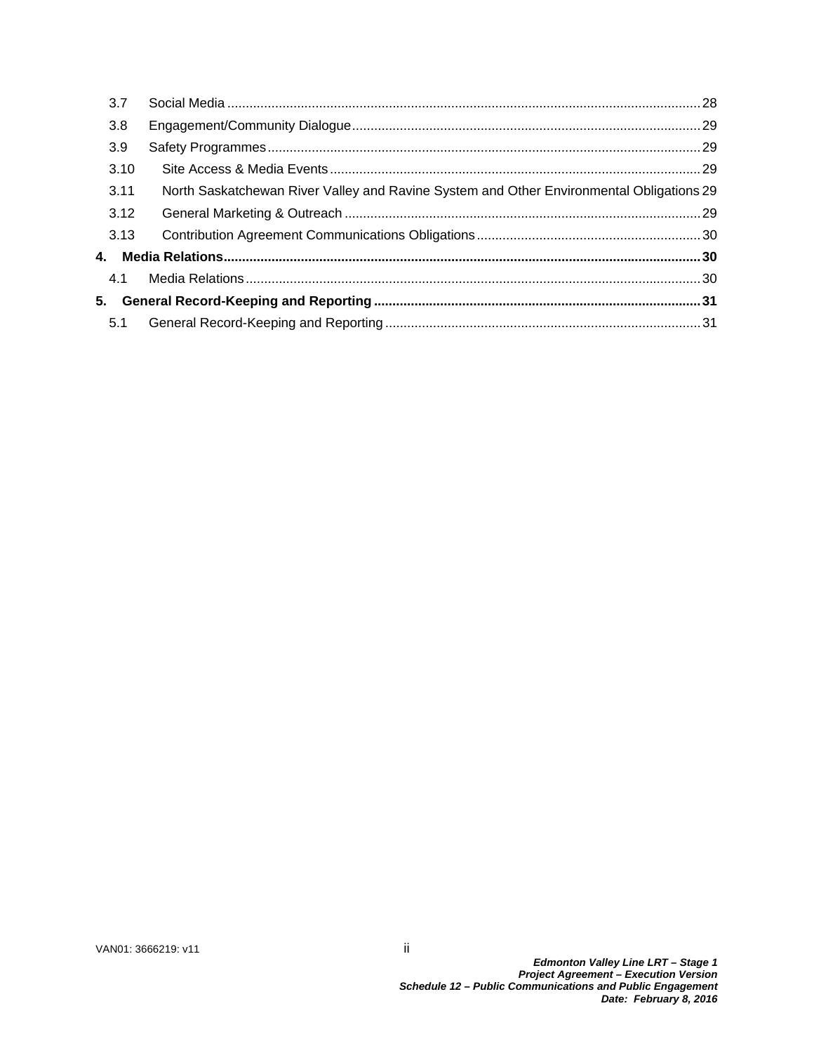| 3.7  |                                                                                          |  |
|------|------------------------------------------------------------------------------------------|--|
| 3.8  |                                                                                          |  |
| 3.9  |                                                                                          |  |
| 3.10 |                                                                                          |  |
| 3.11 | North Saskatchewan River Valley and Ravine System and Other Environmental Obligations 29 |  |
| 3.12 |                                                                                          |  |
| 3.13 |                                                                                          |  |
|      |                                                                                          |  |
| 4.1  |                                                                                          |  |
|      |                                                                                          |  |
| 5.1  |                                                                                          |  |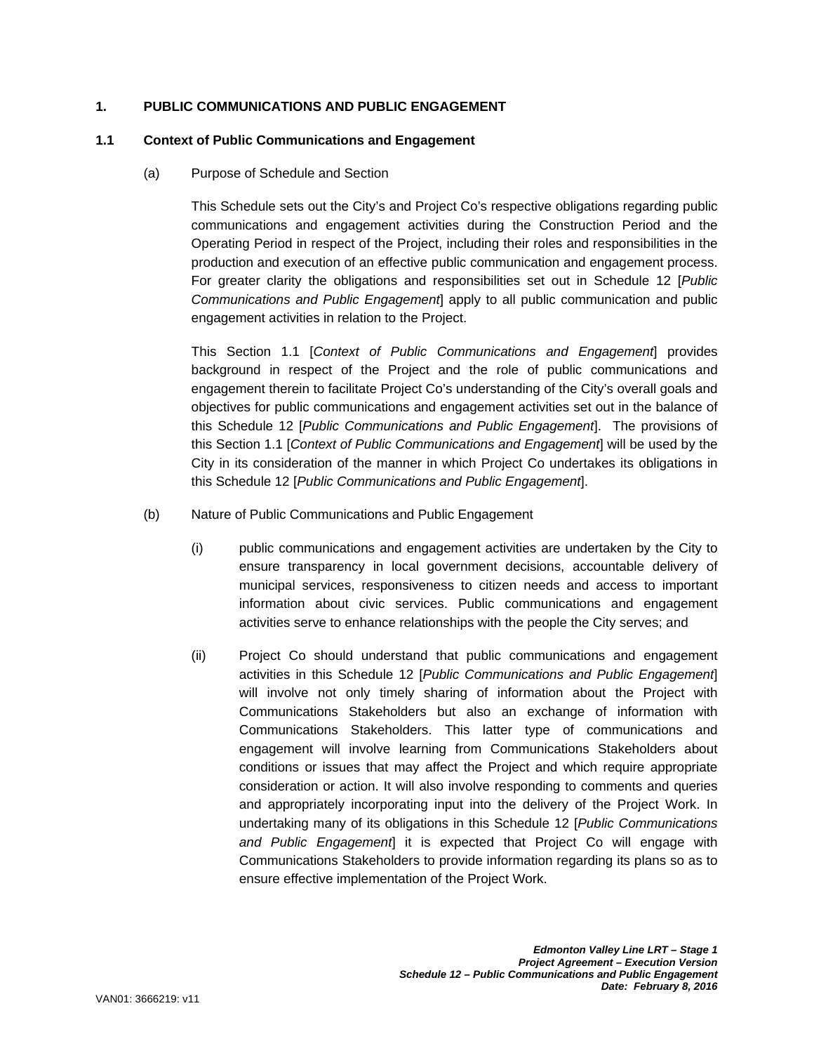## **1. PUBLIC COMMUNICATIONS AND PUBLIC ENGAGEMENT**

#### **1.1 Context of Public Communications and Engagement**

(a) Purpose of Schedule and Section

This Schedule sets out the City's and Project Co's respective obligations regarding public communications and engagement activities during the Construction Period and the Operating Period in respect of the Project, including their roles and responsibilities in the production and execution of an effective public communication and engagement process. For greater clarity the obligations and responsibilities set out in Schedule 12 [*Public Communications and Public Engagement*] apply to all public communication and public engagement activities in relation to the Project.

This Section 1.1 [*Context of Public Communications and Engagement*] provides background in respect of the Project and the role of public communications and engagement therein to facilitate Project Co's understanding of the City's overall goals and objectives for public communications and engagement activities set out in the balance of this Schedule 12 [*Public Communications and Public Engagement*]. The provisions of this Section 1.1 [*Context of Public Communications and Engagement*] will be used by the City in its consideration of the manner in which Project Co undertakes its obligations in this Schedule 12 [*Public Communications and Public Engagement*].

- (b) Nature of Public Communications and Public Engagement
	- (i) public communications and engagement activities are undertaken by the City to ensure transparency in local government decisions, accountable delivery of municipal services, responsiveness to citizen needs and access to important information about civic services. Public communications and engagement activities serve to enhance relationships with the people the City serves; and
	- (ii) Project Co should understand that public communications and engagement activities in this Schedule 12 [*Public Communications and Public Engagement*] will involve not only timely sharing of information about the Project with Communications Stakeholders but also an exchange of information with Communications Stakeholders. This latter type of communications and engagement will involve learning from Communications Stakeholders about conditions or issues that may affect the Project and which require appropriate consideration or action. It will also involve responding to comments and queries and appropriately incorporating input into the delivery of the Project Work. In undertaking many of its obligations in this Schedule 12 [*Public Communications and Public Engagement*] it is expected that Project Co will engage with Communications Stakeholders to provide information regarding its plans so as to ensure effective implementation of the Project Work.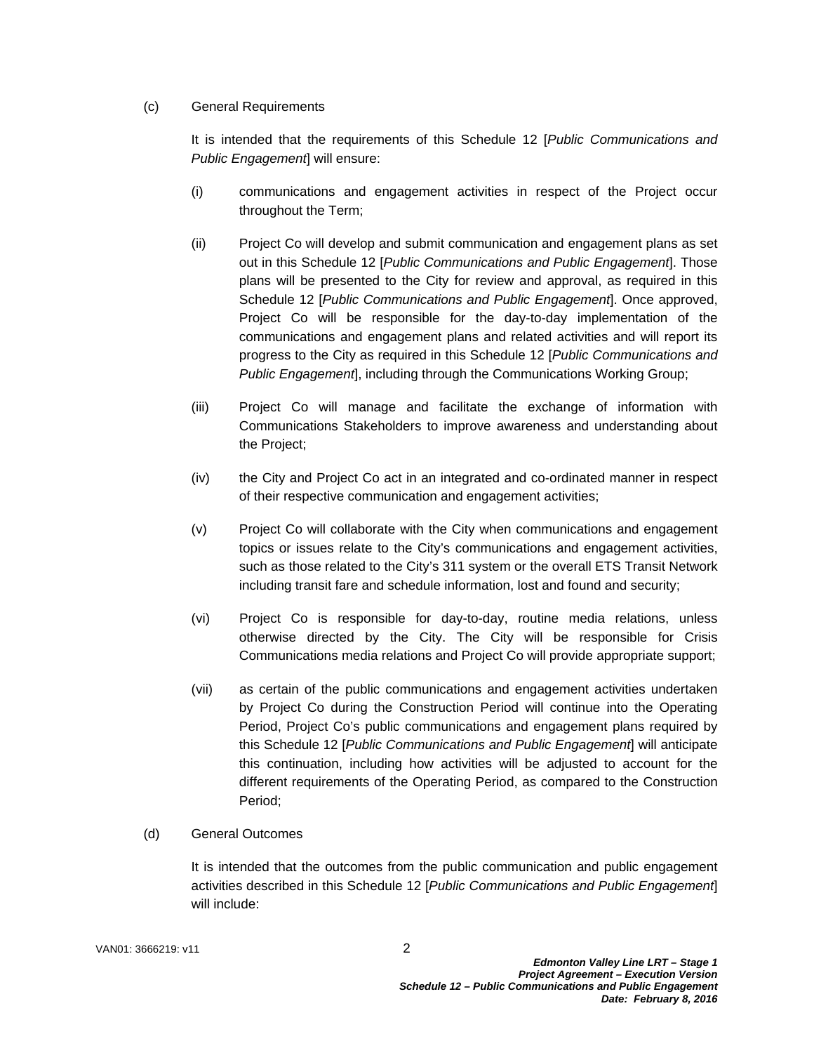## (c) General Requirements

It is intended that the requirements of this Schedule 12 [*Public Communications and Public Engagement*] will ensure:

- (i) communications and engagement activities in respect of the Project occur throughout the Term;
- (ii) Project Co will develop and submit communication and engagement plans as set out in this Schedule 12 [*Public Communications and Public Engagement*]. Those plans will be presented to the City for review and approval, as required in this Schedule 12 [*Public Communications and Public Engagement*]. Once approved, Project Co will be responsible for the day-to-day implementation of the communications and engagement plans and related activities and will report its progress to the City as required in this Schedule 12 [*Public Communications and Public Engagement*], including through the Communications Working Group;
- (iii) Project Co will manage and facilitate the exchange of information with Communications Stakeholders to improve awareness and understanding about the Project;
- (iv) the City and Project Co act in an integrated and co-ordinated manner in respect of their respective communication and engagement activities;
- (v) Project Co will collaborate with the City when communications and engagement topics or issues relate to the City's communications and engagement activities, such as those related to the City's 311 system or the overall ETS Transit Network including transit fare and schedule information, lost and found and security;
- (vi) Project Co is responsible for day-to-day, routine media relations, unless otherwise directed by the City. The City will be responsible for Crisis Communications media relations and Project Co will provide appropriate support;
- (vii) as certain of the public communications and engagement activities undertaken by Project Co during the Construction Period will continue into the Operating Period, Project Co's public communications and engagement plans required by this Schedule 12 [*Public Communications and Public Engagement*] will anticipate this continuation, including how activities will be adjusted to account for the different requirements of the Operating Period, as compared to the Construction Period;

# (d) General Outcomes

It is intended that the outcomes from the public communication and public engagement activities described in this Schedule 12 [*Public Communications and Public Engagement*] will include: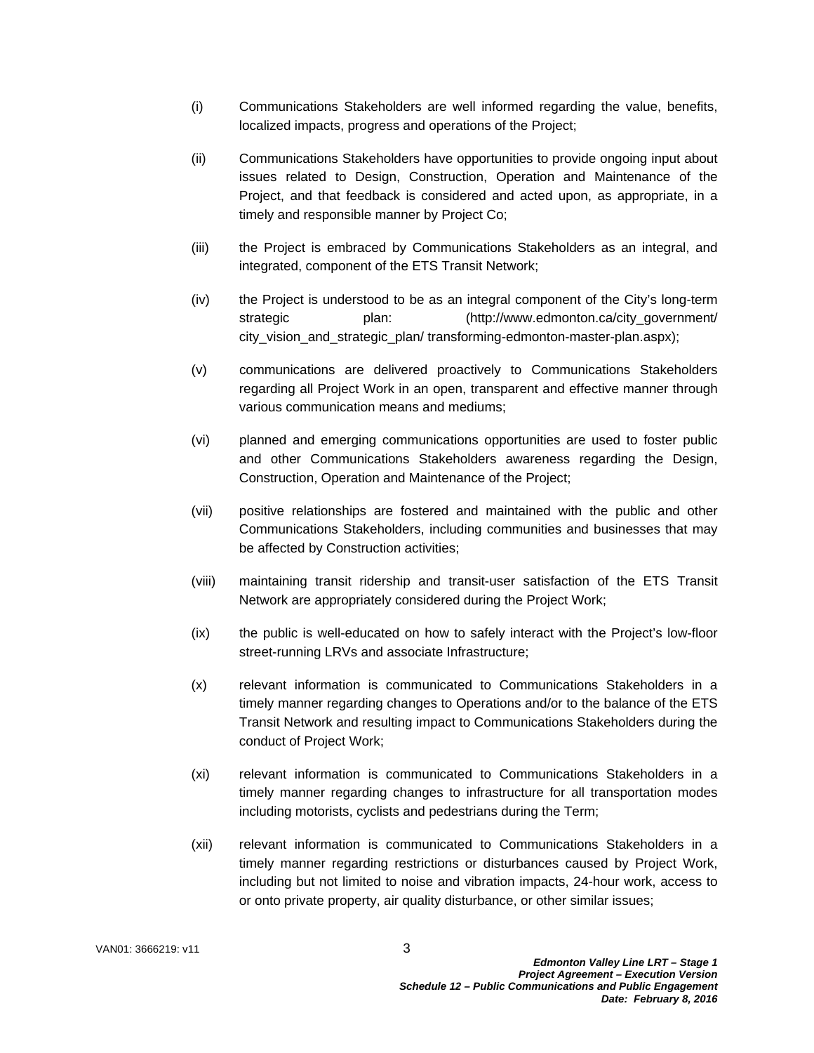- (i) Communications Stakeholders are well informed regarding the value, benefits, localized impacts, progress and operations of the Project;
- (ii) Communications Stakeholders have opportunities to provide ongoing input about issues related to Design, Construction, Operation and Maintenance of the Project, and that feedback is considered and acted upon, as appropriate, in a timely and responsible manner by Project Co;
- (iii) the Project is embraced by Communications Stakeholders as an integral, and integrated, component of the ETS Transit Network;
- (iv) the Project is understood to be as an integral component of the City's long-term strategic plan: (http://www.edmonton.ca/city\_government/ city\_vision\_and\_strategic\_plan/ transforming-edmonton-master-plan.aspx);
- (v) communications are delivered proactively to Communications Stakeholders regarding all Project Work in an open, transparent and effective manner through various communication means and mediums;
- (vi) planned and emerging communications opportunities are used to foster public and other Communications Stakeholders awareness regarding the Design, Construction, Operation and Maintenance of the Project;
- (vii) positive relationships are fostered and maintained with the public and other Communications Stakeholders, including communities and businesses that may be affected by Construction activities;
- (viii) maintaining transit ridership and transit-user satisfaction of the ETS Transit Network are appropriately considered during the Project Work;
- (ix) the public is well-educated on how to safely interact with the Project's low-floor street-running LRVs and associate Infrastructure;
- (x) relevant information is communicated to Communications Stakeholders in a timely manner regarding changes to Operations and/or to the balance of the ETS Transit Network and resulting impact to Communications Stakeholders during the conduct of Project Work;
- (xi) relevant information is communicated to Communications Stakeholders in a timely manner regarding changes to infrastructure for all transportation modes including motorists, cyclists and pedestrians during the Term;
- (xii) relevant information is communicated to Communications Stakeholders in a timely manner regarding restrictions or disturbances caused by Project Work, including but not limited to noise and vibration impacts, 24-hour work, access to or onto private property, air quality disturbance, or other similar issues;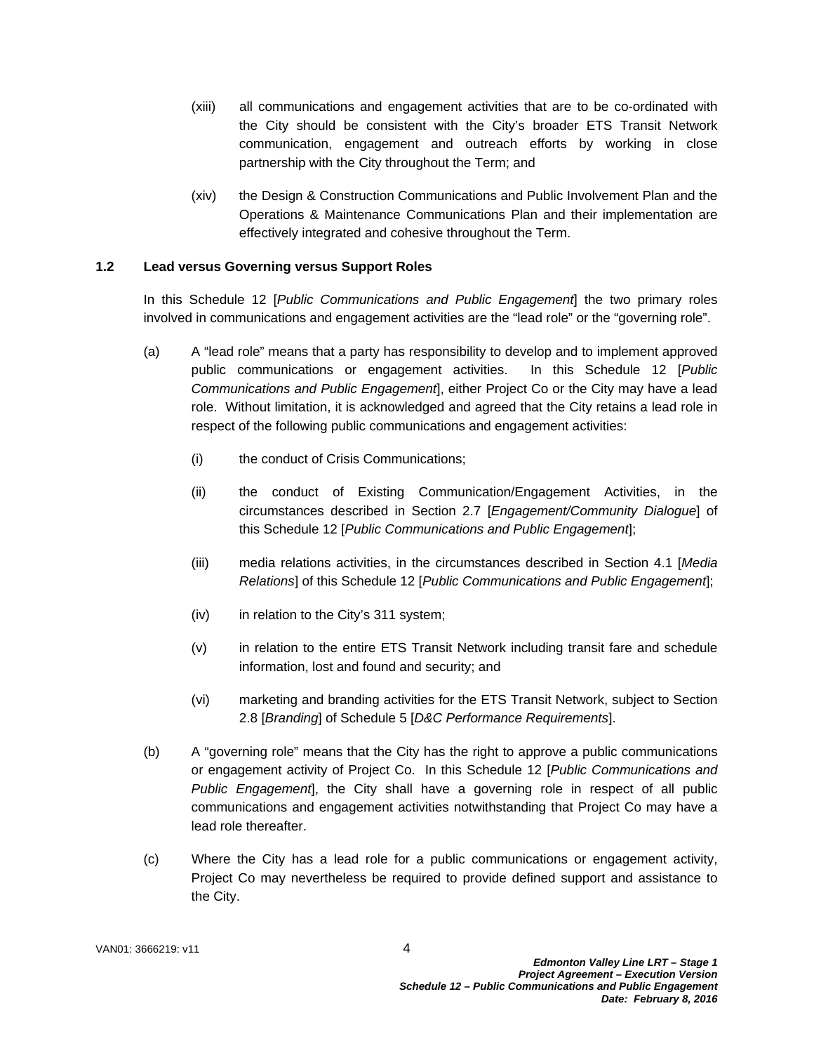- (xiii) all communications and engagement activities that are to be co-ordinated with the City should be consistent with the City's broader ETS Transit Network communication, engagement and outreach efforts by working in close partnership with the City throughout the Term; and
- (xiv) the Design & Construction Communications and Public Involvement Plan and the Operations & Maintenance Communications Plan and their implementation are effectively integrated and cohesive throughout the Term.

#### **1.2 Lead versus Governing versus Support Roles**

In this Schedule 12 [*Public Communications and Public Engagement*] the two primary roles involved in communications and engagement activities are the "lead role" or the "governing role".

- (a) A "lead role" means that a party has responsibility to develop and to implement approved public communications or engagement activities. In this Schedule 12 [*Public Communications and Public Engagement*], either Project Co or the City may have a lead role. Without limitation, it is acknowledged and agreed that the City retains a lead role in respect of the following public communications and engagement activities:
	- (i) the conduct of Crisis Communications;
	- (ii) the conduct of Existing Communication/Engagement Activities, in the circumstances described in Section 2.7 [*Engagement/Community Dialogue*] of this Schedule 12 [*Public Communications and Public Engagement*];
	- (iii) media relations activities, in the circumstances described in Section 4.1 [*Media Relations*] of this Schedule 12 [*Public Communications and Public Engagement*];
	- (iv) in relation to the City's 311 system;
	- (v) in relation to the entire ETS Transit Network including transit fare and schedule information, lost and found and security; and
	- (vi) marketing and branding activities for the ETS Transit Network, subject to Section 2.8 [*Branding*] of Schedule 5 [*D&C Performance Requirements*].
- (b) A "governing role" means that the City has the right to approve a public communications or engagement activity of Project Co. In this Schedule 12 [*Public Communications and Public Engagement*], the City shall have a governing role in respect of all public communications and engagement activities notwithstanding that Project Co may have a lead role thereafter.
- (c) Where the City has a lead role for a public communications or engagement activity, Project Co may nevertheless be required to provide defined support and assistance to the City.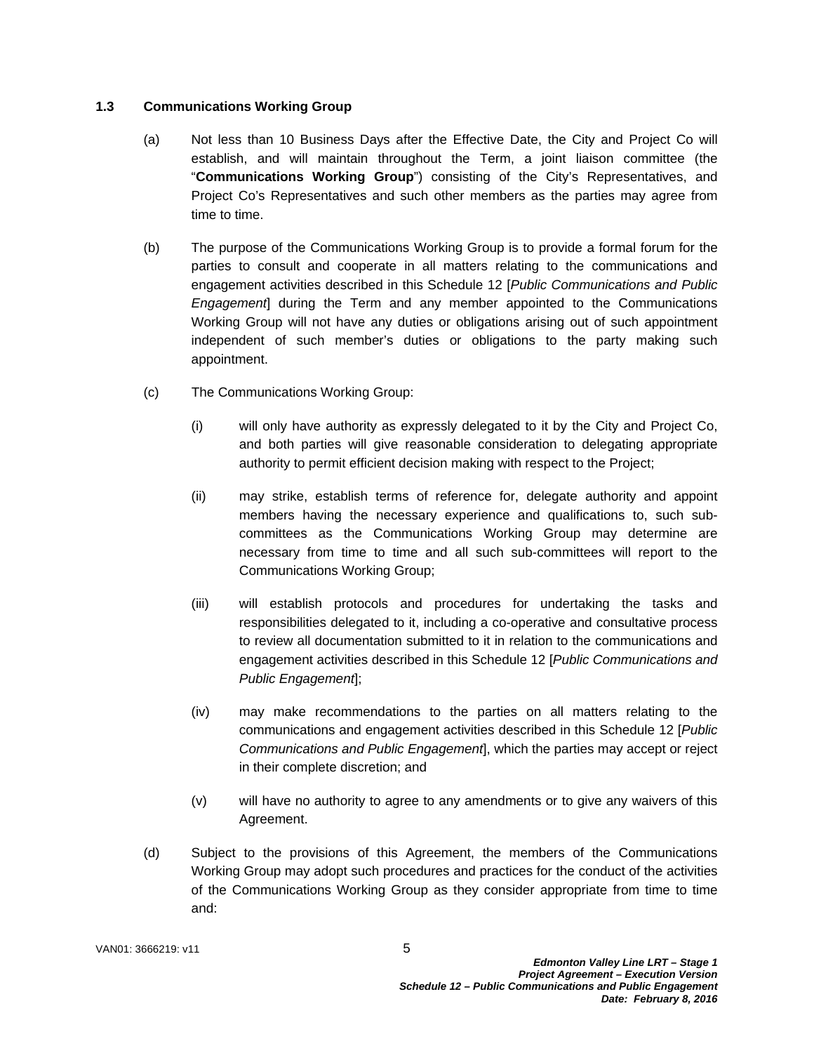## **1.3 Communications Working Group**

- (a) Not less than 10 Business Days after the Effective Date, the City and Project Co will establish, and will maintain throughout the Term, a joint liaison committee (the "**Communications Working Group**") consisting of the City's Representatives, and Project Co's Representatives and such other members as the parties may agree from time to time.
- (b) The purpose of the Communications Working Group is to provide a formal forum for the parties to consult and cooperate in all matters relating to the communications and engagement activities described in this Schedule 12 [*Public Communications and Public Engagement*] during the Term and any member appointed to the Communications Working Group will not have any duties or obligations arising out of such appointment independent of such member's duties or obligations to the party making such appointment.
- (c) The Communications Working Group:
	- (i) will only have authority as expressly delegated to it by the City and Project Co, and both parties will give reasonable consideration to delegating appropriate authority to permit efficient decision making with respect to the Project;
	- (ii) may strike, establish terms of reference for, delegate authority and appoint members having the necessary experience and qualifications to, such subcommittees as the Communications Working Group may determine are necessary from time to time and all such sub-committees will report to the Communications Working Group;
	- (iii) will establish protocols and procedures for undertaking the tasks and responsibilities delegated to it, including a co-operative and consultative process to review all documentation submitted to it in relation to the communications and engagement activities described in this Schedule 12 [*Public Communications and Public Engagement*];
	- (iv) may make recommendations to the parties on all matters relating to the communications and engagement activities described in this Schedule 12 [*Public Communications and Public Engagement*], which the parties may accept or reject in their complete discretion; and
	- (v) will have no authority to agree to any amendments or to give any waivers of this Agreement.
- (d) Subject to the provisions of this Agreement, the members of the Communications Working Group may adopt such procedures and practices for the conduct of the activities of the Communications Working Group as they consider appropriate from time to time and: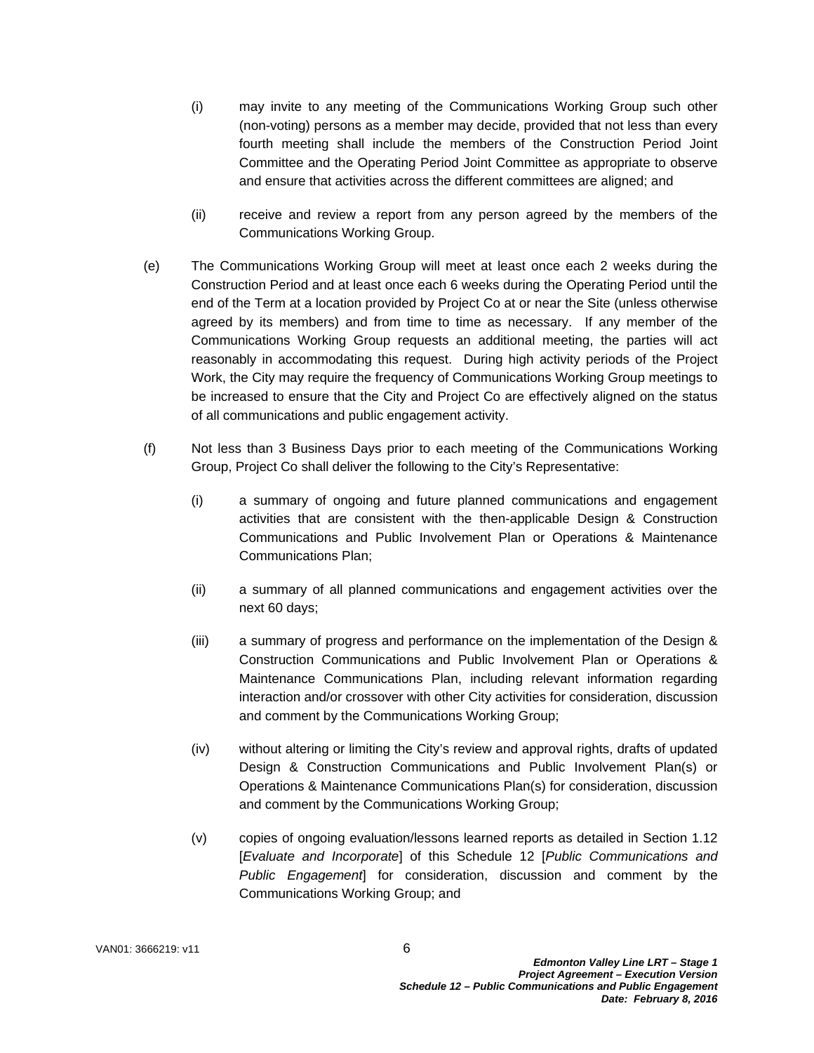- (i) may invite to any meeting of the Communications Working Group such other (non-voting) persons as a member may decide, provided that not less than every fourth meeting shall include the members of the Construction Period Joint Committee and the Operating Period Joint Committee as appropriate to observe and ensure that activities across the different committees are aligned; and
- (ii) receive and review a report from any person agreed by the members of the Communications Working Group.
- (e) The Communications Working Group will meet at least once each 2 weeks during the Construction Period and at least once each 6 weeks during the Operating Period until the end of the Term at a location provided by Project Co at or near the Site (unless otherwise agreed by its members) and from time to time as necessary. If any member of the Communications Working Group requests an additional meeting, the parties will act reasonably in accommodating this request. During high activity periods of the Project Work, the City may require the frequency of Communications Working Group meetings to be increased to ensure that the City and Project Co are effectively aligned on the status of all communications and public engagement activity.
- (f) Not less than 3 Business Days prior to each meeting of the Communications Working Group, Project Co shall deliver the following to the City's Representative:
	- (i) a summary of ongoing and future planned communications and engagement activities that are consistent with the then-applicable Design & Construction Communications and Public Involvement Plan or Operations & Maintenance Communications Plan;
	- (ii) a summary of all planned communications and engagement activities over the next 60 days;
	- (iii) a summary of progress and performance on the implementation of the Design & Construction Communications and Public Involvement Plan or Operations & Maintenance Communications Plan, including relevant information regarding interaction and/or crossover with other City activities for consideration, discussion and comment by the Communications Working Group;
	- (iv) without altering or limiting the City's review and approval rights, drafts of updated Design & Construction Communications and Public Involvement Plan(s) or Operations & Maintenance Communications Plan(s) for consideration, discussion and comment by the Communications Working Group;
	- (v) copies of ongoing evaluation/lessons learned reports as detailed in Section 1.12 [*Evaluate and Incorporate*] of this Schedule 12 [*Public Communications and Public Engagement*] for consideration, discussion and comment by the Communications Working Group; and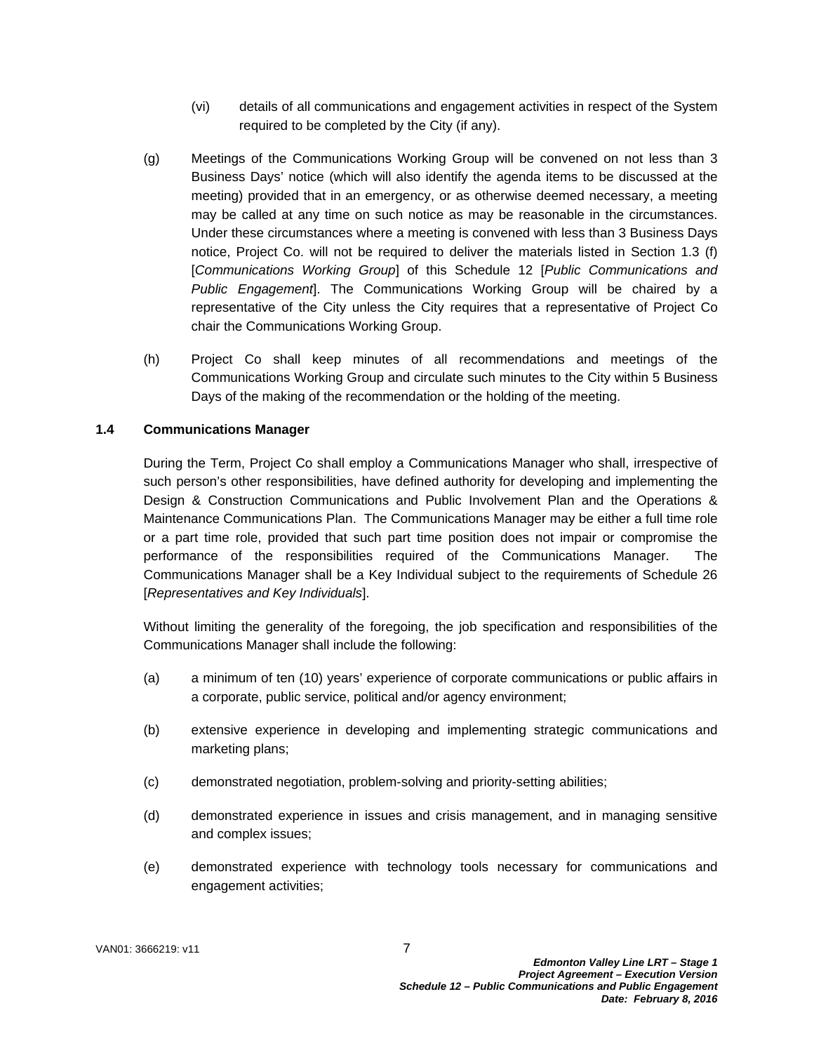- (vi) details of all communications and engagement activities in respect of the System required to be completed by the City (if any).
- (g) Meetings of the Communications Working Group will be convened on not less than 3 Business Days' notice (which will also identify the agenda items to be discussed at the meeting) provided that in an emergency, or as otherwise deemed necessary, a meeting may be called at any time on such notice as may be reasonable in the circumstances. Under these circumstances where a meeting is convened with less than 3 Business Days notice, Project Co. will not be required to deliver the materials listed in Section 1.3 (f) [*Communications Working Group*] of this Schedule 12 [*Public Communications and Public Engagement*]. The Communications Working Group will be chaired by a representative of the City unless the City requires that a representative of Project Co chair the Communications Working Group.
- (h) Project Co shall keep minutes of all recommendations and meetings of the Communications Working Group and circulate such minutes to the City within 5 Business Days of the making of the recommendation or the holding of the meeting.

#### **1.4 Communications Manager**

During the Term, Project Co shall employ a Communications Manager who shall, irrespective of such person's other responsibilities, have defined authority for developing and implementing the Design & Construction Communications and Public Involvement Plan and the Operations & Maintenance Communications Plan. The Communications Manager may be either a full time role or a part time role, provided that such part time position does not impair or compromise the performance of the responsibilities required of the Communications Manager. The Communications Manager shall be a Key Individual subject to the requirements of Schedule 26 [*Representatives and Key Individuals*].

Without limiting the generality of the foregoing, the job specification and responsibilities of the Communications Manager shall include the following:

- (a) a minimum of ten (10) years' experience of corporate communications or public affairs in a corporate, public service, political and/or agency environment;
- (b) extensive experience in developing and implementing strategic communications and marketing plans;
- (c) demonstrated negotiation, problem-solving and priority-setting abilities;
- (d) demonstrated experience in issues and crisis management, and in managing sensitive and complex issues;
- (e) demonstrated experience with technology tools necessary for communications and engagement activities;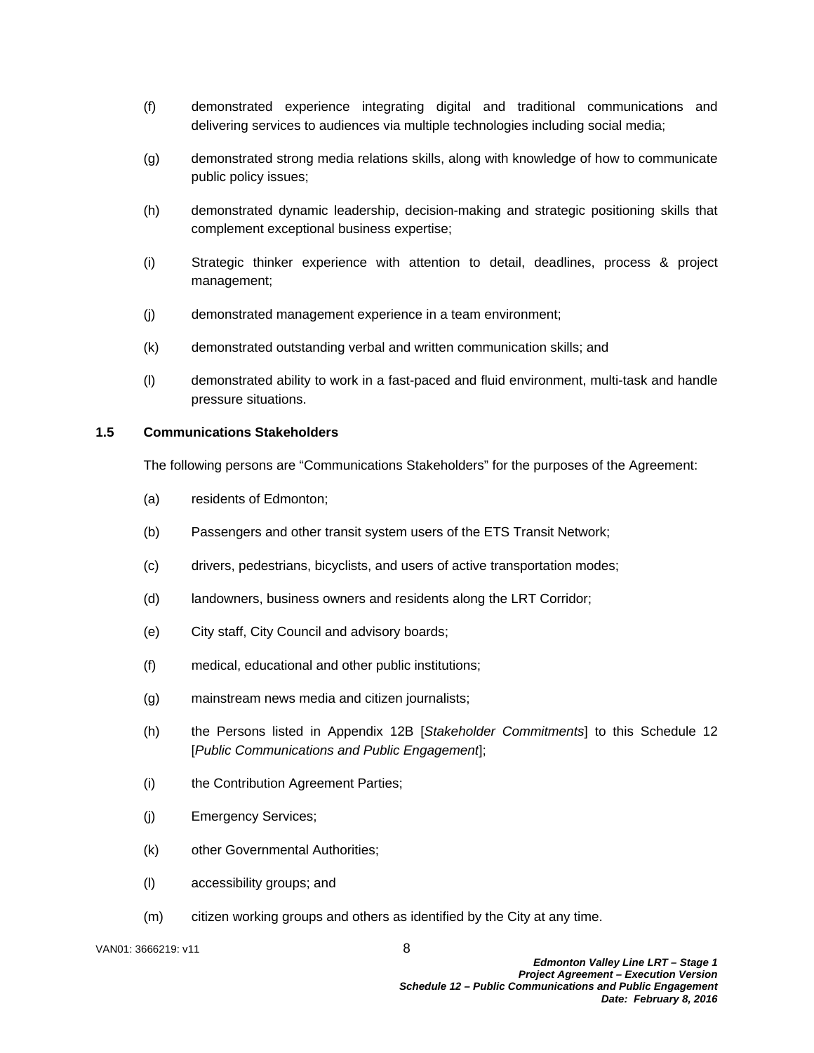- (f) demonstrated experience integrating digital and traditional communications and delivering services to audiences via multiple technologies including social media;
- (g) demonstrated strong media relations skills, along with knowledge of how to communicate public policy issues;
- (h) demonstrated dynamic leadership, decision-making and strategic positioning skills that complement exceptional business expertise;
- (i) Strategic thinker experience with attention to detail, deadlines, process & project management;
- (j) demonstrated management experience in a team environment;
- (k) demonstrated outstanding verbal and written communication skills; and
- (l) demonstrated ability to work in a fast-paced and fluid environment, multi-task and handle pressure situations.

#### **1.5 Communications Stakeholders**

The following persons are "Communications Stakeholders" for the purposes of the Agreement:

- (a) residents of Edmonton;
- (b) Passengers and other transit system users of the ETS Transit Network;
- (c) drivers, pedestrians, bicyclists, and users of active transportation modes;
- (d) landowners, business owners and residents along the LRT Corridor;
- (e) City staff, City Council and advisory boards;
- (f) medical, educational and other public institutions;
- (g) mainstream news media and citizen journalists;
- (h) the Persons listed in Appendix 12B [*Stakeholder Commitments*] to this Schedule 12 [*Public Communications and Public Engagement*];
- (i) the Contribution Agreement Parties;
- (j) Emergency Services;
- (k) other Governmental Authorities;
- (l) accessibility groups; and
- (m) citizen working groups and others as identified by the City at any time.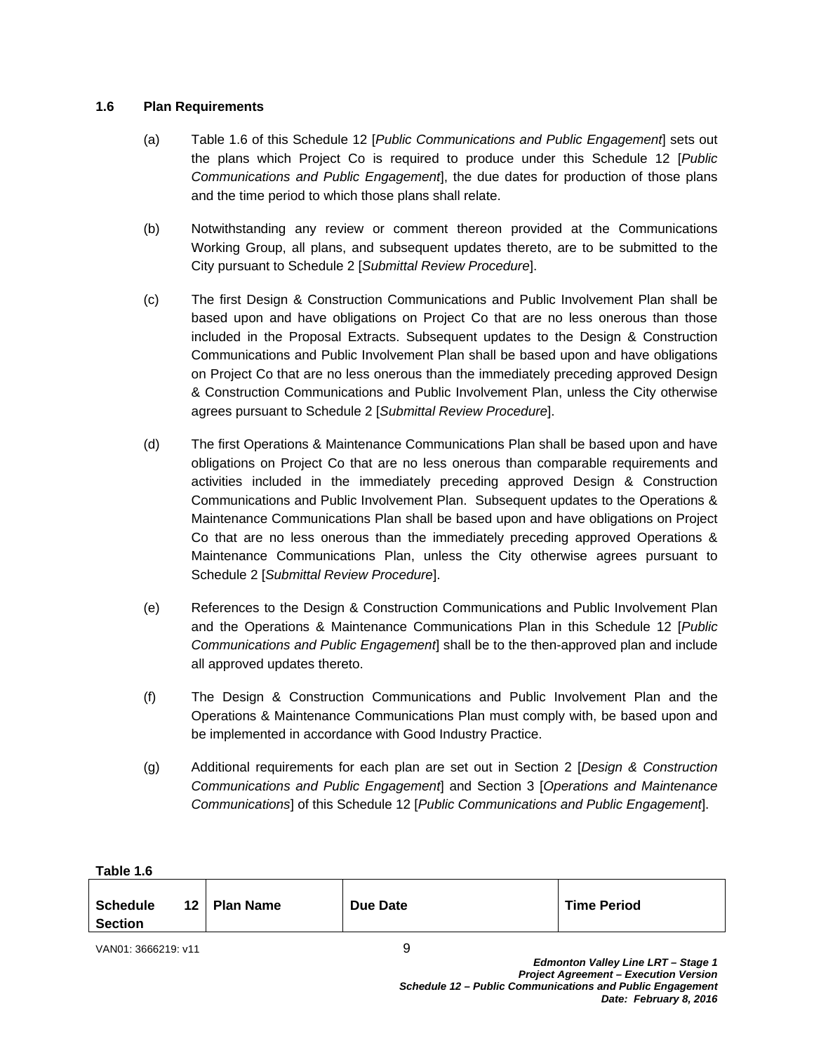## **1.6 Plan Requirements**

- (a) Table 1.6 of this Schedule 12 [*Public Communications and Public Engagement*] sets out the plans which Project Co is required to produce under this Schedule 12 [*Public Communications and Public Engagement*], the due dates for production of those plans and the time period to which those plans shall relate.
- (b) Notwithstanding any review or comment thereon provided at the Communications Working Group, all plans, and subsequent updates thereto, are to be submitted to the City pursuant to Schedule 2 [*Submittal Review Procedure*].
- (c) The first Design & Construction Communications and Public Involvement Plan shall be based upon and have obligations on Project Co that are no less onerous than those included in the Proposal Extracts. Subsequent updates to the Design & Construction Communications and Public Involvement Plan shall be based upon and have obligations on Project Co that are no less onerous than the immediately preceding approved Design & Construction Communications and Public Involvement Plan, unless the City otherwise agrees pursuant to Schedule 2 [*Submittal Review Procedure*].
- (d) The first Operations & Maintenance Communications Plan shall be based upon and have obligations on Project Co that are no less onerous than comparable requirements and activities included in the immediately preceding approved Design & Construction Communications and Public Involvement Plan. Subsequent updates to the Operations & Maintenance Communications Plan shall be based upon and have obligations on Project Co that are no less onerous than the immediately preceding approved Operations & Maintenance Communications Plan, unless the City otherwise agrees pursuant to Schedule 2 [*Submittal Review Procedure*].
- (e) References to the Design & Construction Communications and Public Involvement Plan and the Operations & Maintenance Communications Plan in this Schedule 12 [*Public Communications and Public Engagement*] shall be to the then-approved plan and include all approved updates thereto.
- (f) The Design & Construction Communications and Public Involvement Plan and the Operations & Maintenance Communications Plan must comply with, be based upon and be implemented in accordance with Good Industry Practice.
- (g) Additional requirements for each plan are set out in Section 2 [*Design & Construction Communications and Public Engagement*] and Section 3 [*Operations and Maintenance Communications*] of this Schedule 12 [*Public Communications and Public Engagement*].

| Table 1.6                         |  |                |          |                    |  |
|-----------------------------------|--|----------------|----------|--------------------|--|
| <b>Schedule</b><br><b>Section</b> |  | 12   Plan Name | Due Date | <b>Time Period</b> |  |
|                                   |  |                |          |                    |  |

VAN01: 3666219: v11 9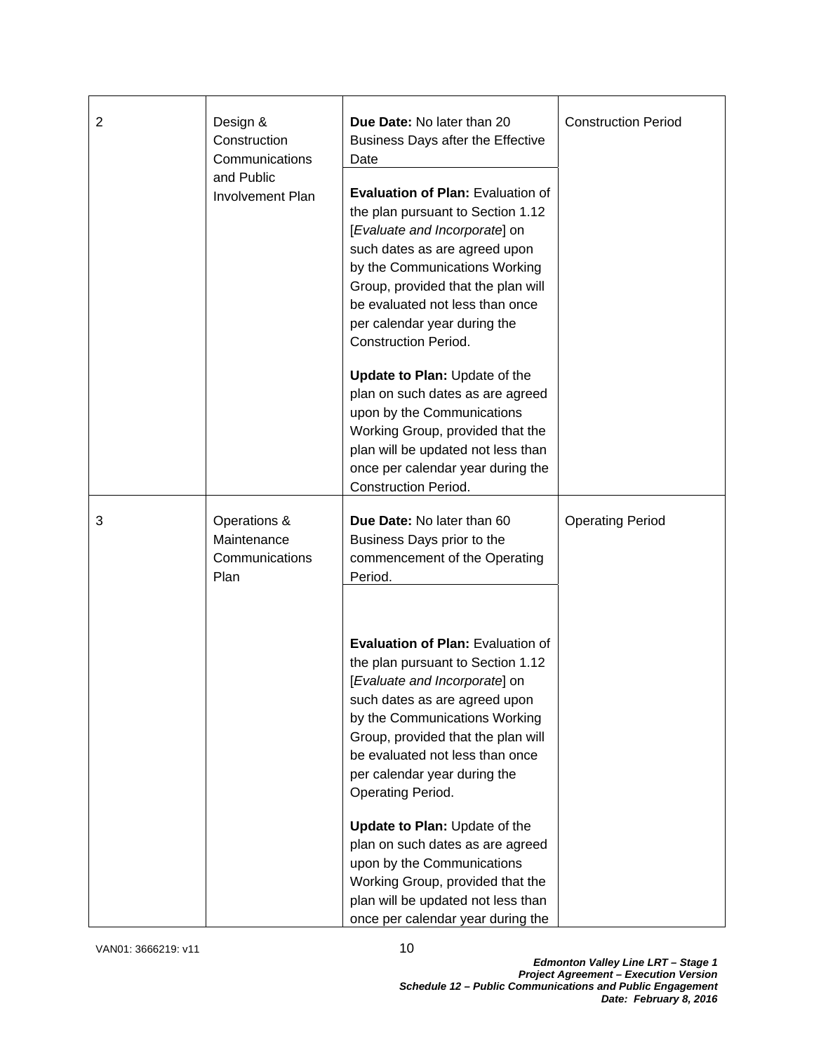| $\overline{2}$ | Design &<br>Construction<br>Communications            | Due Date: No later than 20<br>Business Days after the Effective<br>Date                                                                                                                                                                                                                                                  | <b>Construction Period</b> |  |
|----------------|-------------------------------------------------------|--------------------------------------------------------------------------------------------------------------------------------------------------------------------------------------------------------------------------------------------------------------------------------------------------------------------------|----------------------------|--|
|                | and Public<br><b>Involvement Plan</b>                 | <b>Evaluation of Plan: Evaluation of</b><br>the plan pursuant to Section 1.12<br>[Evaluate and Incorporate] on<br>such dates as are agreed upon<br>by the Communications Working<br>Group, provided that the plan will<br>be evaluated not less than once<br>per calendar year during the<br><b>Construction Period.</b> |                            |  |
|                |                                                       | Update to Plan: Update of the<br>plan on such dates as are agreed<br>upon by the Communications<br>Working Group, provided that the<br>plan will be updated not less than<br>once per calendar year during the<br><b>Construction Period.</b>                                                                            |                            |  |
| 3              | Operations &<br>Maintenance<br>Communications<br>Plan | Due Date: No later than 60<br>Business Days prior to the<br>commencement of the Operating<br>Period.                                                                                                                                                                                                                     | <b>Operating Period</b>    |  |
|                |                                                       | <b>Evaluation of Plan: Evaluation of</b><br>the plan pursuant to Section 1.12<br>[Evaluate and Incorporate] on<br>such dates as are agreed upon<br>by the Communications Working<br>Group, provided that the plan will<br>be evaluated not less than once<br>per calendar year during the<br>Operating Period.           |                            |  |
|                |                                                       | Update to Plan: Update of the<br>plan on such dates as are agreed<br>upon by the Communications<br>Working Group, provided that the<br>plan will be updated not less than<br>once per calendar year during the                                                                                                           |                            |  |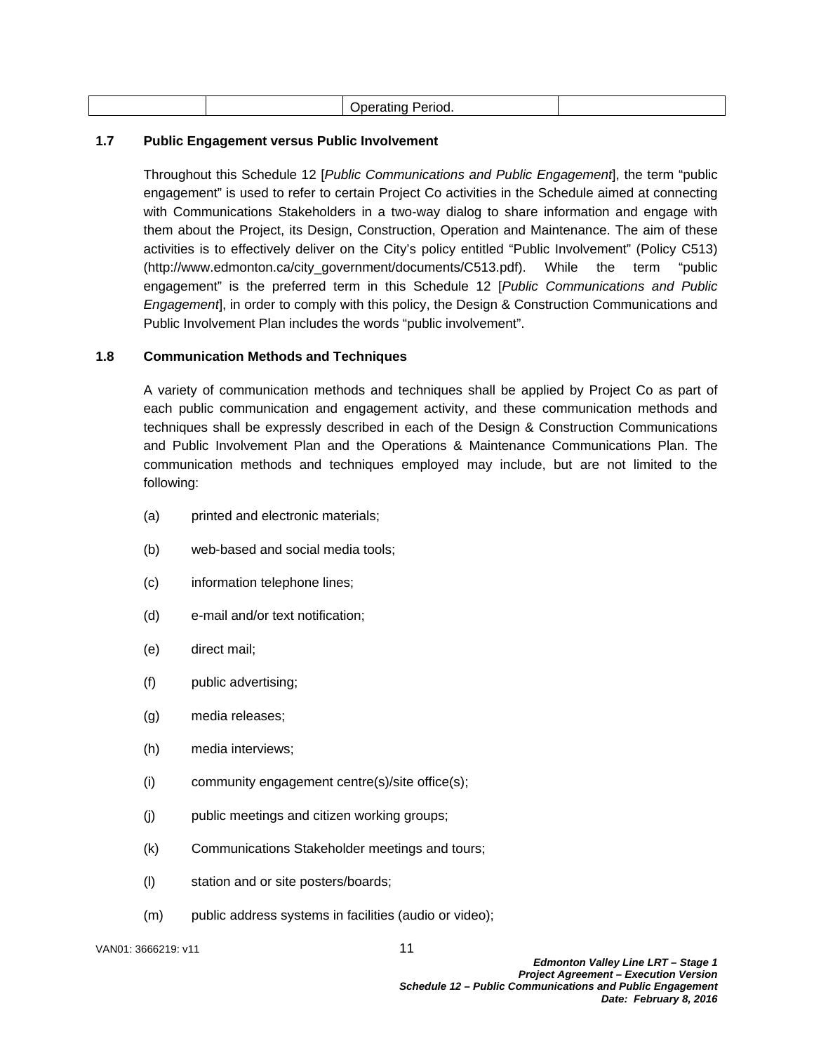| .<br>. .<br>~~<br>''''.<br>. .<br>.<br>. |
|------------------------------------------|
|------------------------------------------|

#### **1.7 Public Engagement versus Public Involvement**

Throughout this Schedule 12 [*Public Communications and Public Engagement*], the term "public engagement" is used to refer to certain Project Co activities in the Schedule aimed at connecting with Communications Stakeholders in a two-way dialog to share information and engage with them about the Project, its Design, Construction, Operation and Maintenance. The aim of these activities is to effectively deliver on the City's policy entitled "Public Involvement" (Policy C513) (http://www.edmonton.ca/city\_government/documents/C513.pdf). While the term "public engagement" is the preferred term in this Schedule 12 [*Public Communications and Public Engagement*], in order to comply with this policy, the Design & Construction Communications and Public Involvement Plan includes the words "public involvement".

#### **1.8 Communication Methods and Techniques**

A variety of communication methods and techniques shall be applied by Project Co as part of each public communication and engagement activity, and these communication methods and techniques shall be expressly described in each of the Design & Construction Communications and Public Involvement Plan and the Operations & Maintenance Communications Plan. The communication methods and techniques employed may include, but are not limited to the following:

- (a) printed and electronic materials;
- (b) web-based and social media tools;
- (c) information telephone lines;
- (d) e-mail and/or text notification;
- (e) direct mail;
- (f) public advertising;
- (g) media releases;
- (h) media interviews;
- (i) community engagement centre(s)/site office(s);
- (j) public meetings and citizen working groups;
- (k) Communications Stakeholder meetings and tours;
- (l) station and or site posters/boards;
- (m) public address systems in facilities (audio or video);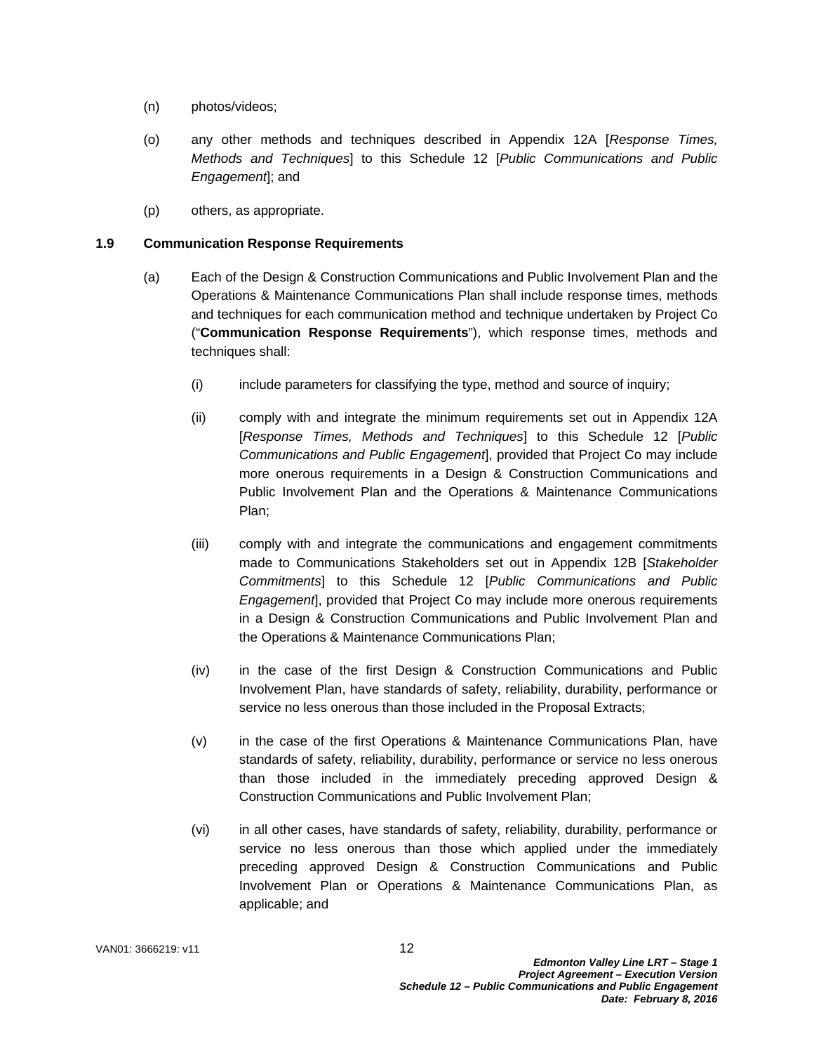- (n) photos/videos;
- (o) any other methods and techniques described in Appendix 12A [*Response Times, Methods and Techniques*] to this Schedule 12 [*Public Communications and Public Engagement*]; and
- (p) others, as appropriate.

#### **1.9 Communication Response Requirements**

- (a) Each of the Design & Construction Communications and Public Involvement Plan and the Operations & Maintenance Communications Plan shall include response times, methods and techniques for each communication method and technique undertaken by Project Co ("**Communication Response Requirements**"), which response times, methods and techniques shall:
	- (i) include parameters for classifying the type, method and source of inquiry;
	- (ii) comply with and integrate the minimum requirements set out in Appendix 12A [*Response Times, Methods and Techniques*] to this Schedule 12 [*Public Communications and Public Engagement*], provided that Project Co may include more onerous requirements in a Design & Construction Communications and Public Involvement Plan and the Operations & Maintenance Communications Plan;
	- (iii) comply with and integrate the communications and engagement commitments made to Communications Stakeholders set out in Appendix 12B [*Stakeholder Commitments*] to this Schedule 12 [*Public Communications and Public Engagement*], provided that Project Co may include more onerous requirements in a Design & Construction Communications and Public Involvement Plan and the Operations & Maintenance Communications Plan;
	- (iv) in the case of the first Design & Construction Communications and Public Involvement Plan, have standards of safety, reliability, durability, performance or service no less onerous than those included in the Proposal Extracts;
	- (v) in the case of the first Operations & Maintenance Communications Plan, have standards of safety, reliability, durability, performance or service no less onerous than those included in the immediately preceding approved Design & Construction Communications and Public Involvement Plan;
	- (vi) in all other cases, have standards of safety, reliability, durability, performance or service no less onerous than those which applied under the immediately preceding approved Design & Construction Communications and Public Involvement Plan or Operations & Maintenance Communications Plan, as applicable; and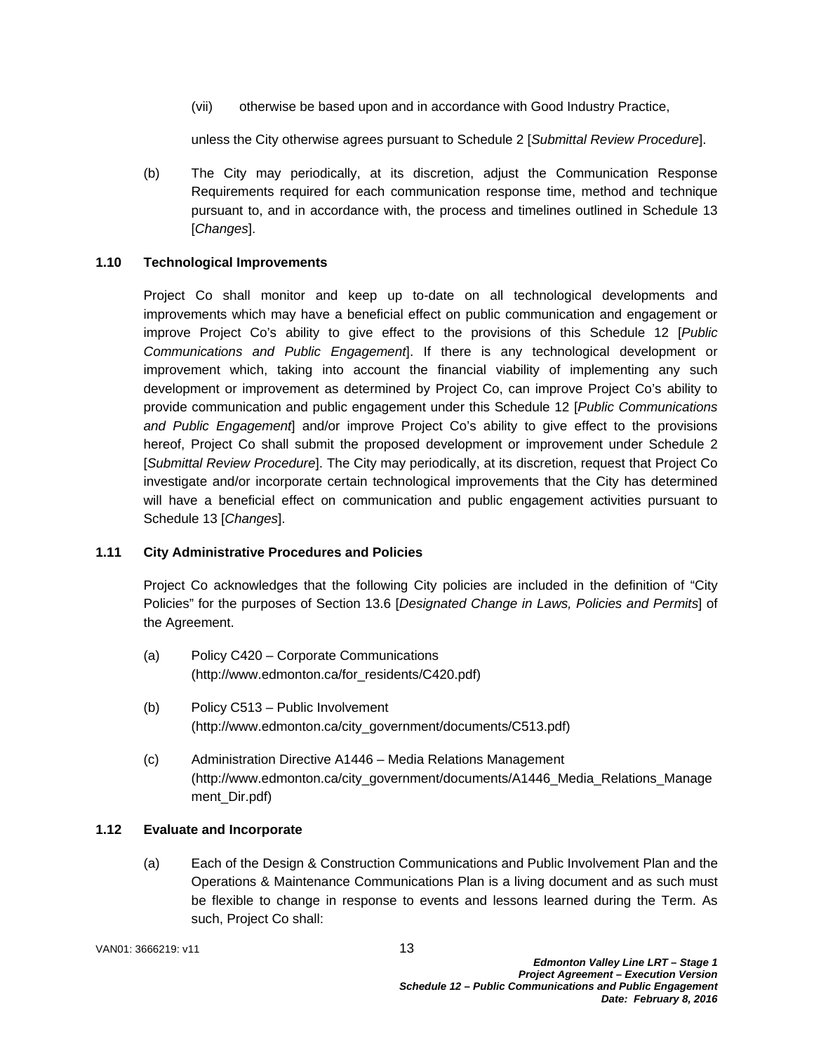(vii) otherwise be based upon and in accordance with Good Industry Practice,

unless the City otherwise agrees pursuant to Schedule 2 [*Submittal Review Procedure*].

(b) The City may periodically, at its discretion, adjust the Communication Response Requirements required for each communication response time, method and technique pursuant to, and in accordance with, the process and timelines outlined in Schedule 13 [*Changes*].

# **1.10 Technological Improvements**

Project Co shall monitor and keep up to-date on all technological developments and improvements which may have a beneficial effect on public communication and engagement or improve Project Co's ability to give effect to the provisions of this Schedule 12 [*Public Communications and Public Engagement*]. If there is any technological development or improvement which, taking into account the financial viability of implementing any such development or improvement as determined by Project Co, can improve Project Co's ability to provide communication and public engagement under this Schedule 12 [*Public Communications and Public Engagement*] and/or improve Project Co's ability to give effect to the provisions hereof, Project Co shall submit the proposed development or improvement under Schedule 2 [*Submittal Review Procedure*]. The City may periodically, at its discretion, request that Project Co investigate and/or incorporate certain technological improvements that the City has determined will have a beneficial effect on communication and public engagement activities pursuant to Schedule 13 [*Changes*].

# **1.11 City Administrative Procedures and Policies**

Project Co acknowledges that the following City policies are included in the definition of "City Policies" for the purposes of Section 13.6 [*Designated Change in Laws, Policies and Permits*] of the Agreement.

- (a) Policy C420 Corporate Communications (http://www.edmonton.ca/for\_residents/C420.pdf)
- (b) Policy C513 Public Involvement (http://www.edmonton.ca/city\_government/documents/C513.pdf)
- (c) Administration Directive A1446 Media Relations Management (http://www.edmonton.ca/city\_government/documents/A1446\_Media\_Relations\_Manage ment\_Dir.pdf)

# **1.12 Evaluate and Incorporate**

(a) Each of the Design & Construction Communications and Public Involvement Plan and the Operations & Maintenance Communications Plan is a living document and as such must be flexible to change in response to events and lessons learned during the Term. As such, Project Co shall: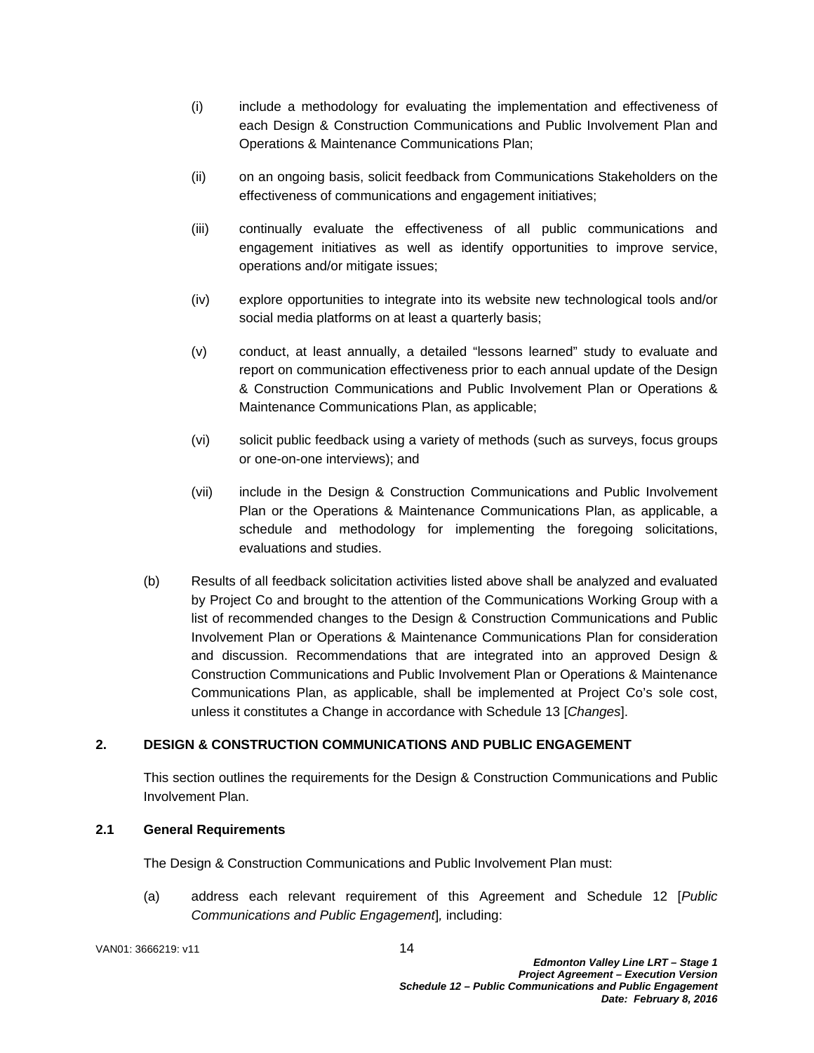- (i) include a methodology for evaluating the implementation and effectiveness of each Design & Construction Communications and Public Involvement Plan and Operations & Maintenance Communications Plan;
- (ii) on an ongoing basis, solicit feedback from Communications Stakeholders on the effectiveness of communications and engagement initiatives;
- (iii) continually evaluate the effectiveness of all public communications and engagement initiatives as well as identify opportunities to improve service, operations and/or mitigate issues;
- (iv) explore opportunities to integrate into its website new technological tools and/or social media platforms on at least a quarterly basis;
- (v) conduct, at least annually, a detailed "lessons learned" study to evaluate and report on communication effectiveness prior to each annual update of the Design & Construction Communications and Public Involvement Plan or Operations & Maintenance Communications Plan, as applicable;
- (vi) solicit public feedback using a variety of methods (such as surveys, focus groups or one-on-one interviews); and
- (vii) include in the Design & Construction Communications and Public Involvement Plan or the Operations & Maintenance Communications Plan, as applicable, a schedule and methodology for implementing the foregoing solicitations, evaluations and studies.
- (b) Results of all feedback solicitation activities listed above shall be analyzed and evaluated by Project Co and brought to the attention of the Communications Working Group with a list of recommended changes to the Design & Construction Communications and Public Involvement Plan or Operations & Maintenance Communications Plan for consideration and discussion. Recommendations that are integrated into an approved Design & Construction Communications and Public Involvement Plan or Operations & Maintenance Communications Plan, as applicable, shall be implemented at Project Co's sole cost, unless it constitutes a Change in accordance with Schedule 13 [*Changes*].

# **2. DESIGN & CONSTRUCTION COMMUNICATIONS AND PUBLIC ENGAGEMENT**

This section outlines the requirements for the Design & Construction Communications and Public Involvement Plan.

#### **2.1 General Requirements**

The Design & Construction Communications and Public Involvement Plan must:

(a) address each relevant requirement of this Agreement and Schedule 12 [*Public Communications and Public Engagement*]*,* including:

VAN01: 3666219: v11 14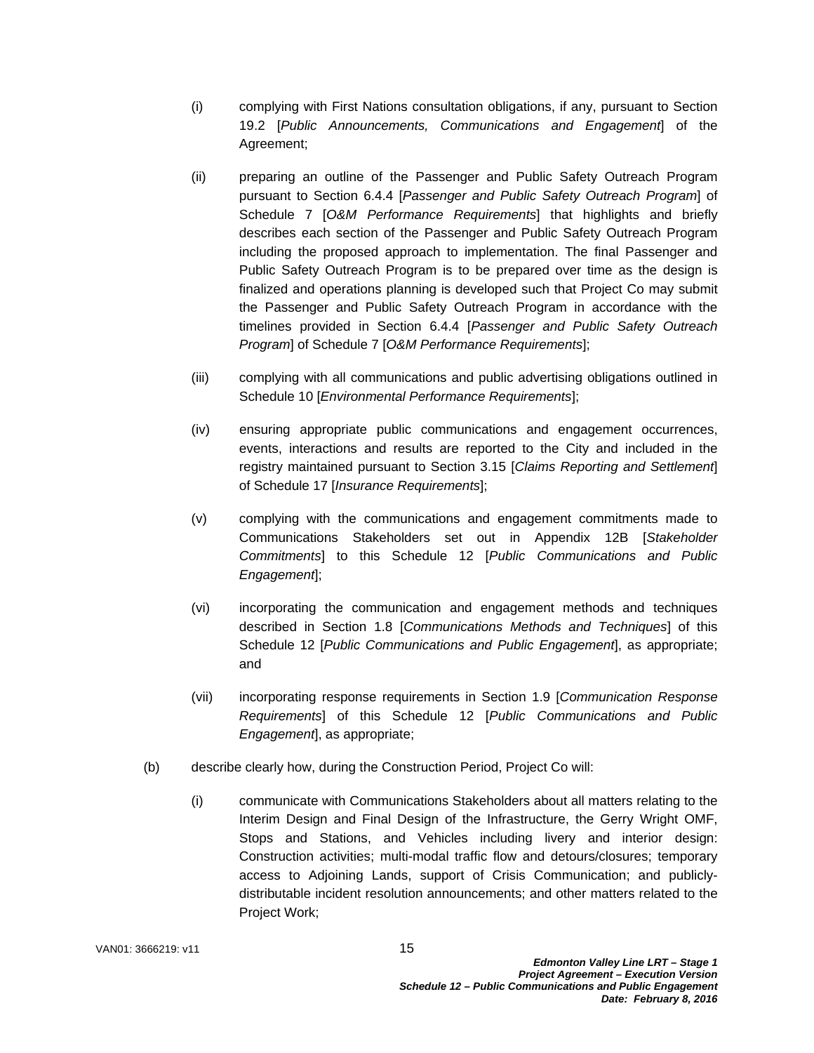- (i) complying with First Nations consultation obligations, if any, pursuant to Section 19.2 [*Public Announcements, Communications and Engagement*] of the Agreement;
- (ii) preparing an outline of the Passenger and Public Safety Outreach Program pursuant to Section 6.4.4 [*Passenger and Public Safety Outreach Program*] of Schedule 7 [*O&M Performance Requirements*] that highlights and briefly describes each section of the Passenger and Public Safety Outreach Program including the proposed approach to implementation. The final Passenger and Public Safety Outreach Program is to be prepared over time as the design is finalized and operations planning is developed such that Project Co may submit the Passenger and Public Safety Outreach Program in accordance with the timelines provided in Section 6.4.4 [*Passenger and Public Safety Outreach Program*] of Schedule 7 [*O&M Performance Requirements*];
- (iii) complying with all communications and public advertising obligations outlined in Schedule 10 [*Environmental Performance Requirements*];
- (iv) ensuring appropriate public communications and engagement occurrences, events, interactions and results are reported to the City and included in the registry maintained pursuant to Section 3.15 [*Claims Reporting and Settlement*] of Schedule 17 [*Insurance Requirements*];
- (v) complying with the communications and engagement commitments made to Communications Stakeholders set out in Appendix 12B [*Stakeholder Commitments*] to this Schedule 12 [*Public Communications and Public Engagement*];
- (vi) incorporating the communication and engagement methods and techniques described in Section 1.8 [*Communications Methods and Techniques*] of this Schedule 12 [*Public Communications and Public Engagement*], as appropriate; and
- (vii) incorporating response requirements in Section 1.9 [*Communication Response Requirements*] of this Schedule 12 [*Public Communications and Public Engagement*], as appropriate;
- (b) describe clearly how, during the Construction Period, Project Co will:
	- (i) communicate with Communications Stakeholders about all matters relating to the Interim Design and Final Design of the Infrastructure, the Gerry Wright OMF, Stops and Stations, and Vehicles including livery and interior design: Construction activities; multi-modal traffic flow and detours/closures; temporary access to Adjoining Lands, support of Crisis Communication; and publiclydistributable incident resolution announcements; and other matters related to the Project Work;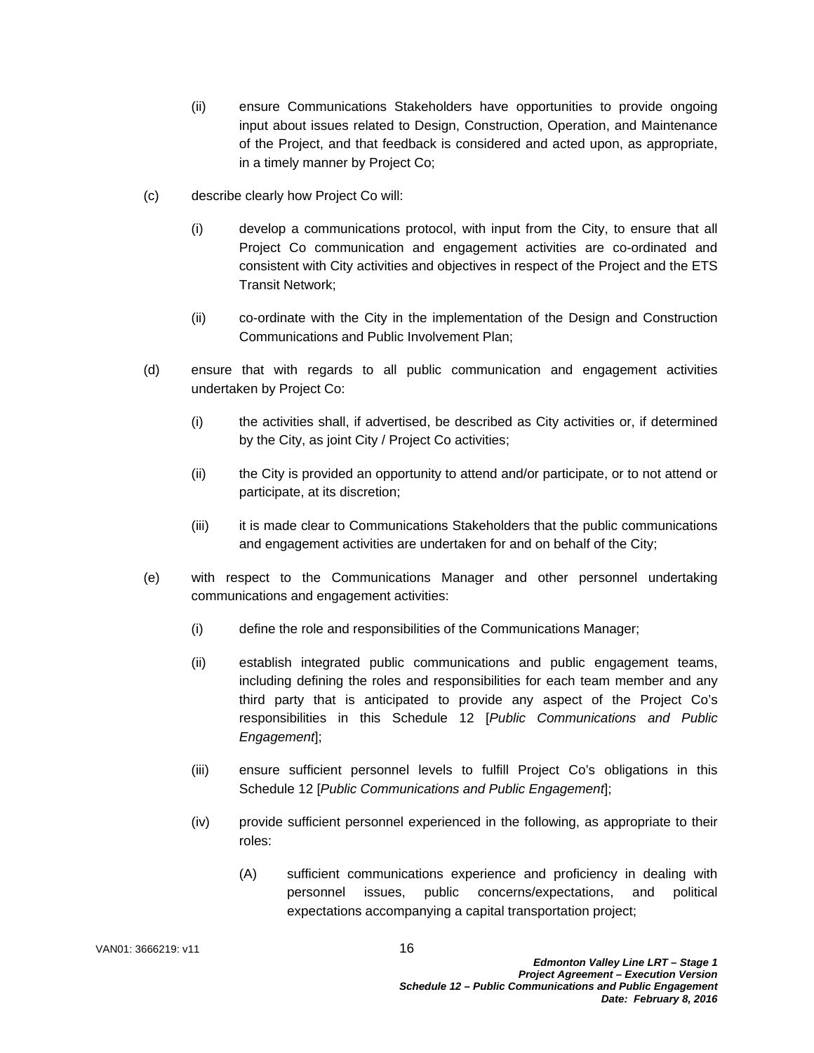- (ii) ensure Communications Stakeholders have opportunities to provide ongoing input about issues related to Design, Construction, Operation, and Maintenance of the Project, and that feedback is considered and acted upon, as appropriate, in a timely manner by Project Co;
- (c) describe clearly how Project Co will:
	- (i) develop a communications protocol, with input from the City, to ensure that all Project Co communication and engagement activities are co-ordinated and consistent with City activities and objectives in respect of the Project and the ETS Transit Network;
	- (ii) co-ordinate with the City in the implementation of the Design and Construction Communications and Public Involvement Plan;
- (d) ensure that with regards to all public communication and engagement activities undertaken by Project Co:
	- (i) the activities shall, if advertised, be described as City activities or, if determined by the City, as joint City / Project Co activities;
	- (ii) the City is provided an opportunity to attend and/or participate, or to not attend or participate, at its discretion;
	- (iii) it is made clear to Communications Stakeholders that the public communications and engagement activities are undertaken for and on behalf of the City;
- (e) with respect to the Communications Manager and other personnel undertaking communications and engagement activities:
	- (i) define the role and responsibilities of the Communications Manager;
	- (ii) establish integrated public communications and public engagement teams, including defining the roles and responsibilities for each team member and any third party that is anticipated to provide any aspect of the Project Co's responsibilities in this Schedule 12 [*Public Communications and Public Engagement*];
	- (iii) ensure sufficient personnel levels to fulfill Project Co's obligations in this Schedule 12 [*Public Communications and Public Engagement*];
	- (iv) provide sufficient personnel experienced in the following, as appropriate to their roles:
		- (A) sufficient communications experience and proficiency in dealing with personnel issues, public concerns/expectations, and political expectations accompanying a capital transportation project;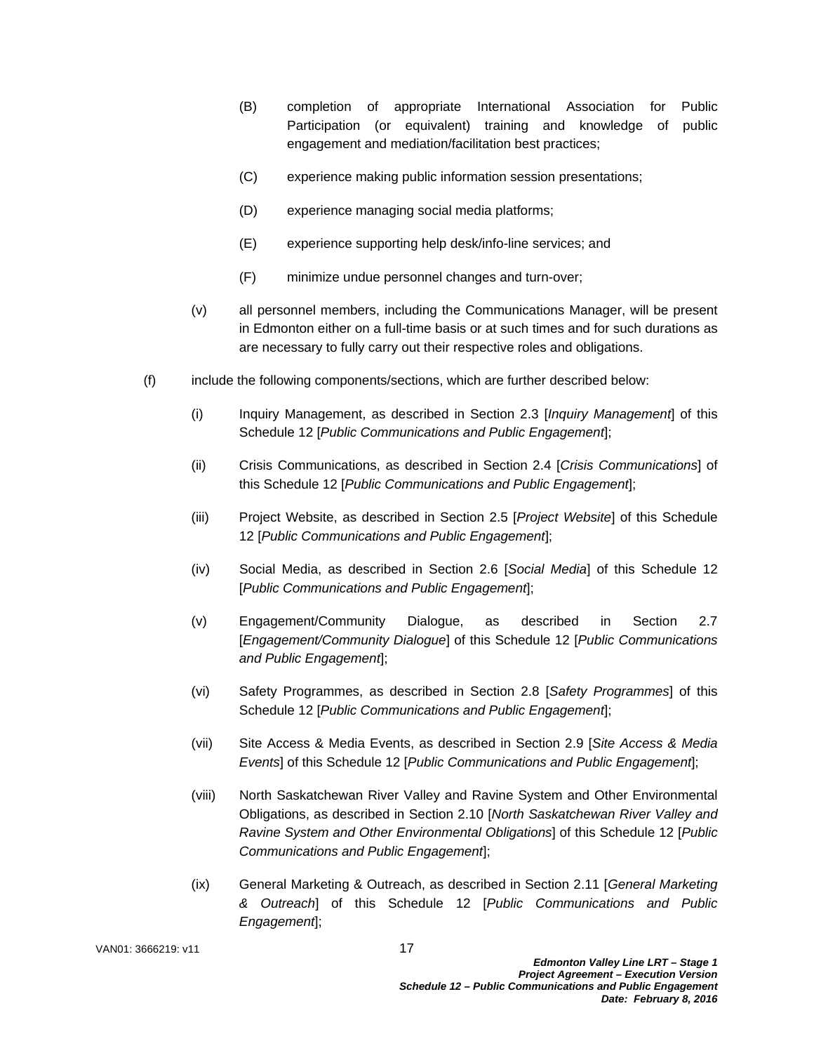- (B) completion of appropriate International Association for Public Participation (or equivalent) training and knowledge of public engagement and mediation/facilitation best practices;
- (C) experience making public information session presentations;
- (D) experience managing social media platforms;
- (E) experience supporting help desk/info-line services; and
- (F) minimize undue personnel changes and turn-over;
- (v) all personnel members, including the Communications Manager, will be present in Edmonton either on a full-time basis or at such times and for such durations as are necessary to fully carry out their respective roles and obligations.
- (f) include the following components/sections, which are further described below:
	- (i) Inquiry Management, as described in Section 2.3 [*Inquiry Management*] of this Schedule 12 [*Public Communications and Public Engagement*];
	- (ii) Crisis Communications, as described in Section 2.4 [*Crisis Communications*] of this Schedule 12 [*Public Communications and Public Engagement*];
	- (iii) Project Website, as described in Section 2.5 [*Project Website*] of this Schedule 12 [*Public Communications and Public Engagement*];
	- (iv) Social Media, as described in Section 2.6 [*Social Media*] of this Schedule 12 [*Public Communications and Public Engagement*];
	- (v) Engagement/Community Dialogue, as described in Section 2.7 [*Engagement/Community Dialogue*] of this Schedule 12 [*Public Communications and Public Engagement*];
	- (vi) Safety Programmes, as described in Section 2.8 [*Safety Programmes*] of this Schedule 12 [*Public Communications and Public Engagement*];
	- (vii) Site Access & Media Events, as described in Section 2.9 [*Site Access & Media Events*] of this Schedule 12 [*Public Communications and Public Engagement*];
	- (viii) North Saskatchewan River Valley and Ravine System and Other Environmental Obligations, as described in Section 2.10 [*North Saskatchewan River Valley and Ravine System and Other Environmental Obligations*] of this Schedule 12 [*Public Communications and Public Engagement*];
	- (ix) General Marketing & Outreach, as described in Section 2.11 [*General Marketing & Outreach*] of this Schedule 12 [*Public Communications and Public Engagement*];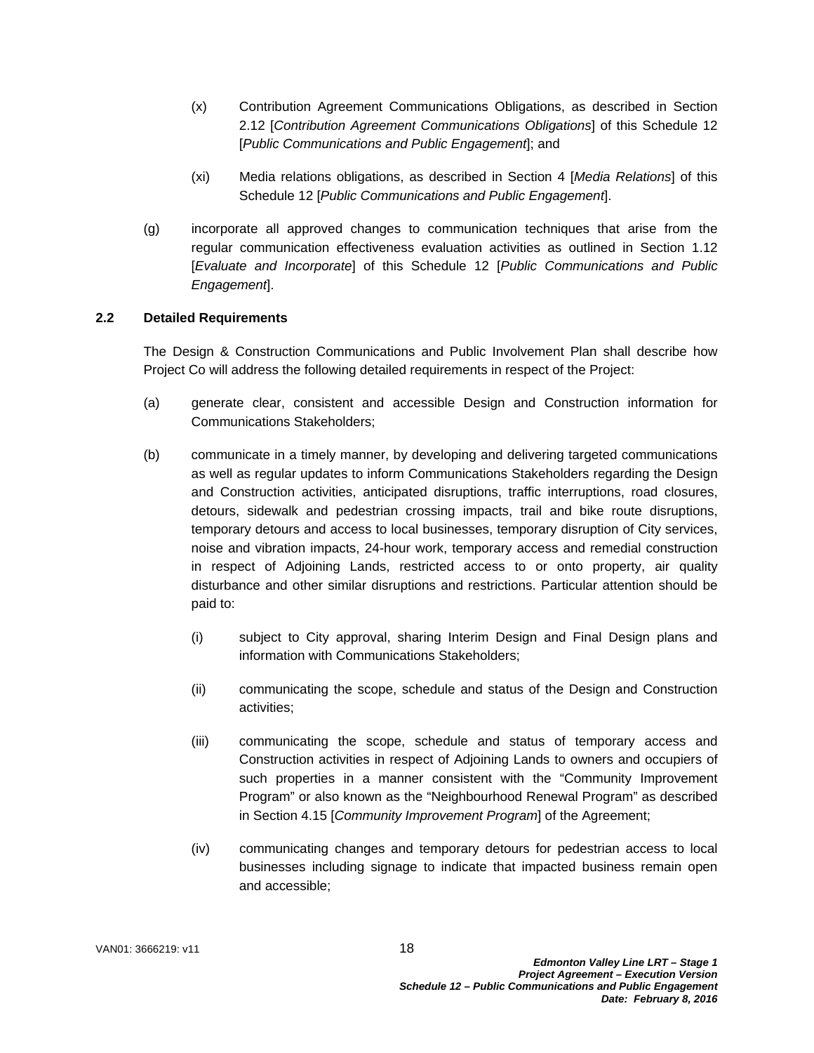- (x) Contribution Agreement Communications Obligations, as described in Section 2.12 [*Contribution Agreement Communications Obligations*] of this Schedule 12 [*Public Communications and Public Engagement*]; and
- (xi) Media relations obligations, as described in Section 4 [*Media Relations*] of this Schedule 12 [*Public Communications and Public Engagement*].
- (g) incorporate all approved changes to communication techniques that arise from the regular communication effectiveness evaluation activities as outlined in Section 1.12 [*Evaluate and Incorporate*] of this Schedule 12 [*Public Communications and Public Engagement*].

## **2.2 Detailed Requirements**

The Design & Construction Communications and Public Involvement Plan shall describe how Project Co will address the following detailed requirements in respect of the Project:

- (a) generate clear, consistent and accessible Design and Construction information for Communications Stakeholders;
- (b) communicate in a timely manner, by developing and delivering targeted communications as well as regular updates to inform Communications Stakeholders regarding the Design and Construction activities, anticipated disruptions, traffic interruptions, road closures, detours, sidewalk and pedestrian crossing impacts, trail and bike route disruptions, temporary detours and access to local businesses, temporary disruption of City services, noise and vibration impacts, 24-hour work, temporary access and remedial construction in respect of Adjoining Lands, restricted access to or onto property, air quality disturbance and other similar disruptions and restrictions. Particular attention should be paid to:
	- (i) subject to City approval, sharing Interim Design and Final Design plans and information with Communications Stakeholders;
	- (ii) communicating the scope, schedule and status of the Design and Construction activities;
	- (iii) communicating the scope, schedule and status of temporary access and Construction activities in respect of Adjoining Lands to owners and occupiers of such properties in a manner consistent with the "Community Improvement Program" or also known as the "Neighbourhood Renewal Program" as described in Section 4.15 [*Community Improvement Program*] of the Agreement;
	- (iv) communicating changes and temporary detours for pedestrian access to local businesses including signage to indicate that impacted business remain open and accessible;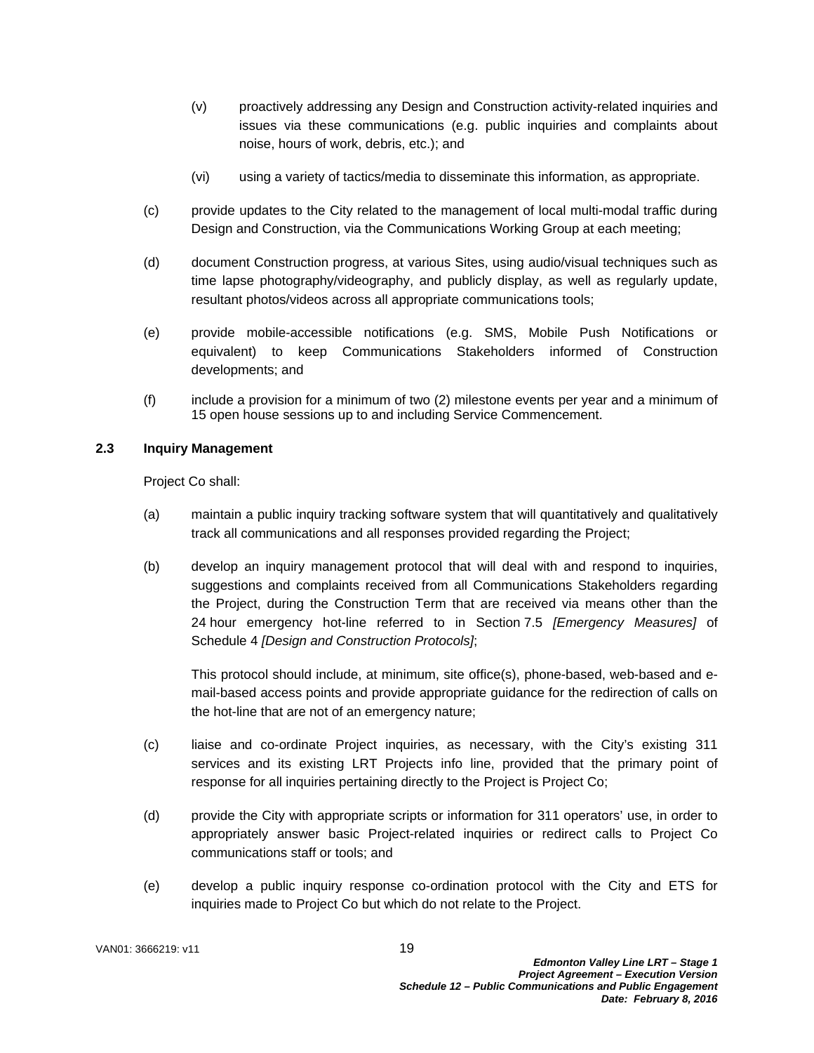- (v) proactively addressing any Design and Construction activity-related inquiries and issues via these communications (e.g. public inquiries and complaints about noise, hours of work, debris, etc.); and
- (vi) using a variety of tactics/media to disseminate this information, as appropriate.
- (c) provide updates to the City related to the management of local multi-modal traffic during Design and Construction, via the Communications Working Group at each meeting;
- (d) document Construction progress, at various Sites, using audio/visual techniques such as time lapse photography/videography, and publicly display, as well as regularly update, resultant photos/videos across all appropriate communications tools;
- (e) provide mobile-accessible notifications (e.g. SMS, Mobile Push Notifications or equivalent) to keep Communications Stakeholders informed of Construction developments; and
- (f) include a provision for a minimum of two (2) milestone events per year and a minimum of 15 open house sessions up to and including Service Commencement.

## **2.3 Inquiry Management**

Project Co shall:

- (a) maintain a public inquiry tracking software system that will quantitatively and qualitatively track all communications and all responses provided regarding the Project;
- (b) develop an inquiry management protocol that will deal with and respond to inquiries, suggestions and complaints received from all Communications Stakeholders regarding the Project, during the Construction Term that are received via means other than the 24 hour emergency hot-line referred to in Section 7.5 *[Emergency Measures]* of Schedule 4 *[Design and Construction Protocols]*;

This protocol should include, at minimum, site office(s), phone-based, web-based and email-based access points and provide appropriate guidance for the redirection of calls on the hot-line that are not of an emergency nature;

- (c) liaise and co-ordinate Project inquiries, as necessary, with the City's existing 311 services and its existing LRT Projects info line, provided that the primary point of response for all inquiries pertaining directly to the Project is Project Co;
- (d) provide the City with appropriate scripts or information for 311 operators' use, in order to appropriately answer basic Project-related inquiries or redirect calls to Project Co communications staff or tools; and
- (e) develop a public inquiry response co-ordination protocol with the City and ETS for inquiries made to Project Co but which do not relate to the Project.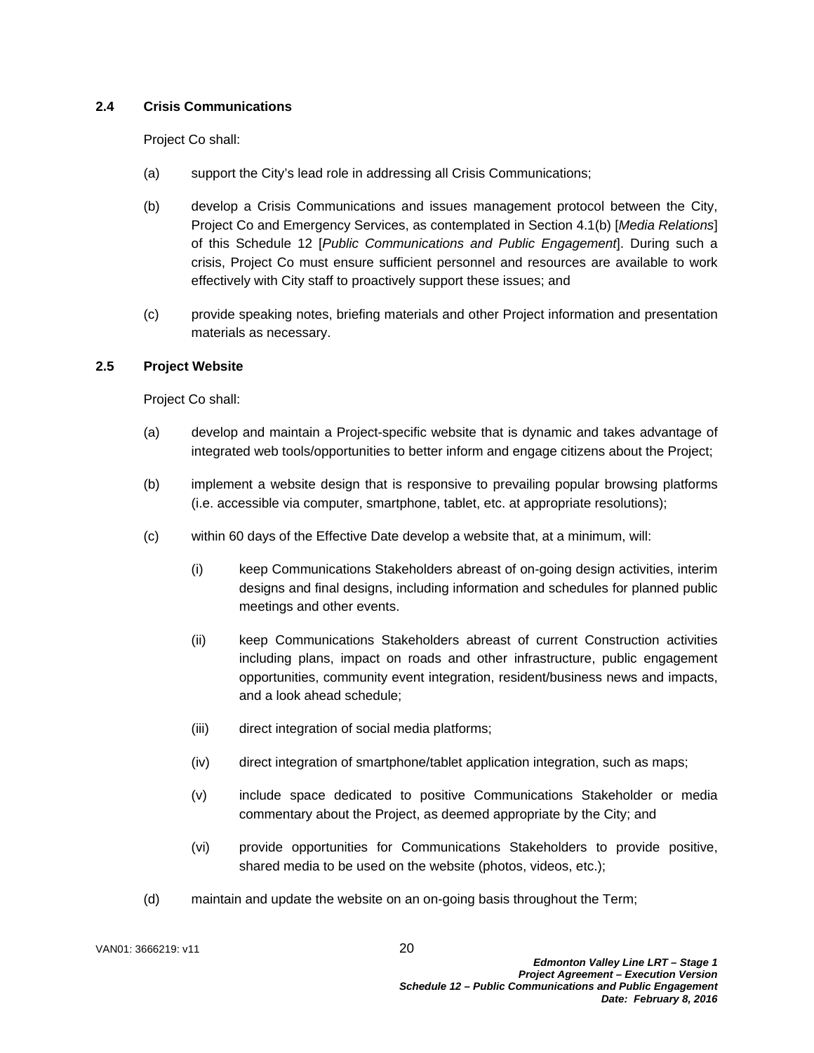# **2.4 Crisis Communications**

Project Co shall:

- (a) support the City's lead role in addressing all Crisis Communications;
- (b) develop a Crisis Communications and issues management protocol between the City, Project Co and Emergency Services, as contemplated in Section 4.1(b) [*Media Relations*] of this Schedule 12 [*Public Communications and Public Engagement*]. During such a crisis, Project Co must ensure sufficient personnel and resources are available to work effectively with City staff to proactively support these issues; and
- (c) provide speaking notes, briefing materials and other Project information and presentation materials as necessary.

# **2.5 Project Website**

Project Co shall:

- (a) develop and maintain a Project-specific website that is dynamic and takes advantage of integrated web tools/opportunities to better inform and engage citizens about the Project;
- (b) implement a website design that is responsive to prevailing popular browsing platforms (i.e. accessible via computer, smartphone, tablet, etc. at appropriate resolutions);
- (c) within 60 days of the Effective Date develop a website that, at a minimum, will:
	- (i) keep Communications Stakeholders abreast of on-going design activities, interim designs and final designs, including information and schedules for planned public meetings and other events.
	- (ii) keep Communications Stakeholders abreast of current Construction activities including plans, impact on roads and other infrastructure, public engagement opportunities, community event integration, resident/business news and impacts, and a look ahead schedule;
	- (iii) direct integration of social media platforms;
	- (iv) direct integration of smartphone/tablet application integration, such as maps;
	- (v) include space dedicated to positive Communications Stakeholder or media commentary about the Project, as deemed appropriate by the City; and
	- (vi) provide opportunities for Communications Stakeholders to provide positive, shared media to be used on the website (photos, videos, etc.);
- (d) maintain and update the website on an on-going basis throughout the Term;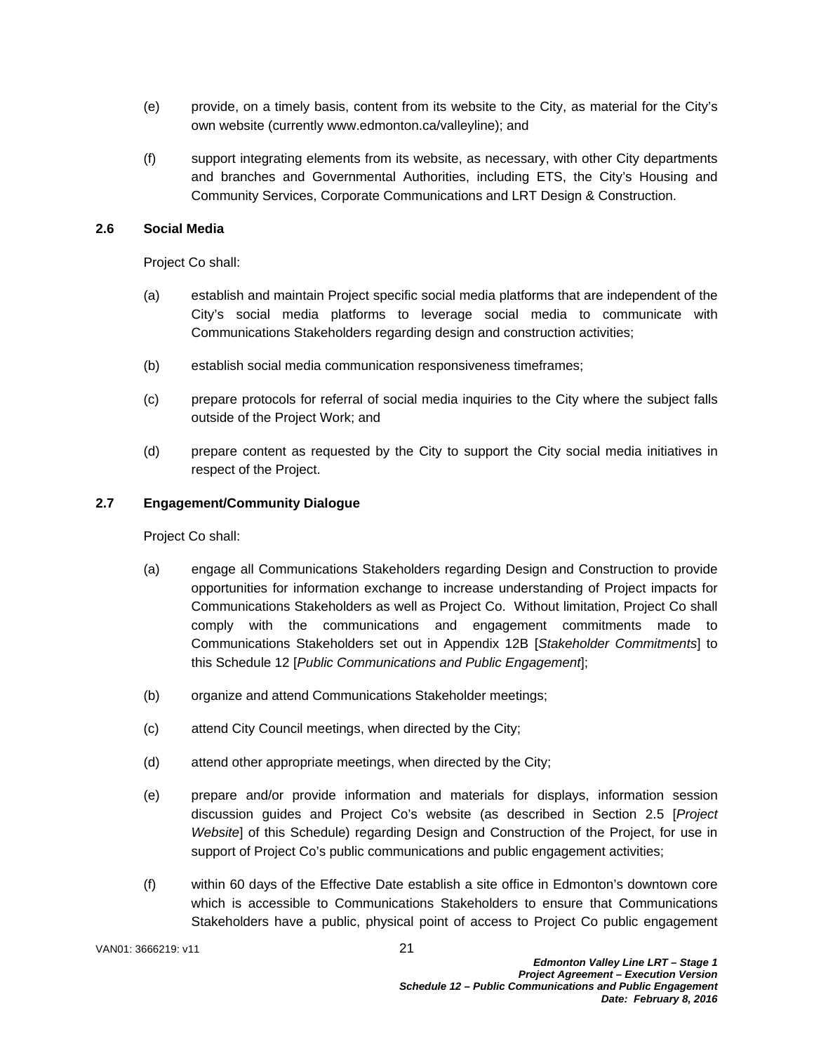- (e) provide, on a timely basis, content from its website to the City, as material for the City's own website (currently www.edmonton.ca/valleyline); and
- (f) support integrating elements from its website, as necessary, with other City departments and branches and Governmental Authorities, including ETS, the City's Housing and Community Services, Corporate Communications and LRT Design & Construction.

#### **2.6 Social Media**

Project Co shall:

- (a) establish and maintain Project specific social media platforms that are independent of the City's social media platforms to leverage social media to communicate with Communications Stakeholders regarding design and construction activities;
- (b) establish social media communication responsiveness timeframes;
- (c) prepare protocols for referral of social media inquiries to the City where the subject falls outside of the Project Work; and
- (d) prepare content as requested by the City to support the City social media initiatives in respect of the Project.

## **2.7 Engagement/Community Dialogue**

Project Co shall:

- (a) engage all Communications Stakeholders regarding Design and Construction to provide opportunities for information exchange to increase understanding of Project impacts for Communications Stakeholders as well as Project Co. Without limitation, Project Co shall comply with the communications and engagement commitments made to Communications Stakeholders set out in Appendix 12B [*Stakeholder Commitments*] to this Schedule 12 [*Public Communications and Public Engagement*];
- (b) organize and attend Communications Stakeholder meetings;
- (c) attend City Council meetings, when directed by the City;
- (d) attend other appropriate meetings, when directed by the City;
- (e) prepare and/or provide information and materials for displays, information session discussion guides and Project Co's website (as described in Section 2.5 [*Project Website*] of this Schedule) regarding Design and Construction of the Project, for use in support of Project Co's public communications and public engagement activities;
- (f) within 60 days of the Effective Date establish a site office in Edmonton's downtown core which is accessible to Communications Stakeholders to ensure that Communications Stakeholders have a public, physical point of access to Project Co public engagement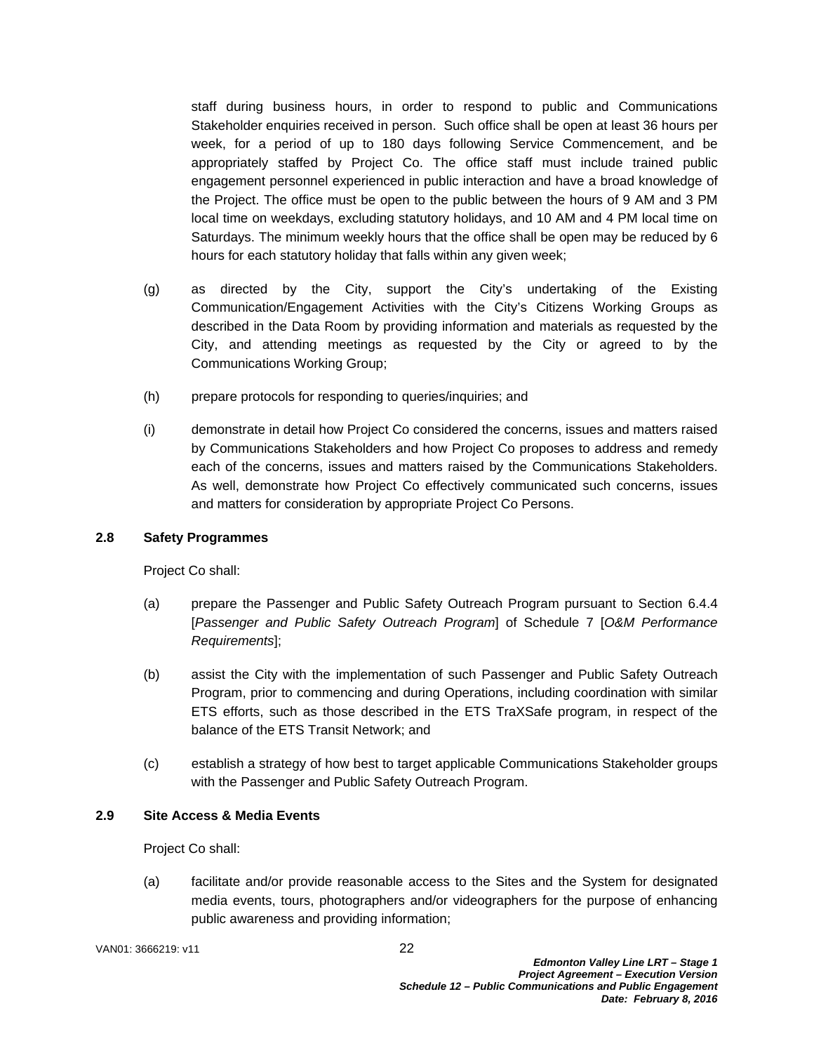staff during business hours, in order to respond to public and Communications Stakeholder enquiries received in person. Such office shall be open at least 36 hours per week, for a period of up to 180 days following Service Commencement, and be appropriately staffed by Project Co. The office staff must include trained public engagement personnel experienced in public interaction and have a broad knowledge of the Project. The office must be open to the public between the hours of 9 AM and 3 PM local time on weekdays, excluding statutory holidays, and 10 AM and 4 PM local time on Saturdays. The minimum weekly hours that the office shall be open may be reduced by 6 hours for each statutory holiday that falls within any given week;

- (g) as directed by the City, support the City's undertaking of the Existing Communication/Engagement Activities with the City's Citizens Working Groups as described in the Data Room by providing information and materials as requested by the City, and attending meetings as requested by the City or agreed to by the Communications Working Group;
- (h) prepare protocols for responding to queries/inquiries; and
- (i) demonstrate in detail how Project Co considered the concerns, issues and matters raised by Communications Stakeholders and how Project Co proposes to address and remedy each of the concerns, issues and matters raised by the Communications Stakeholders. As well, demonstrate how Project Co effectively communicated such concerns, issues and matters for consideration by appropriate Project Co Persons.

#### **2.8 Safety Programmes**

Project Co shall:

- (a) prepare the Passenger and Public Safety Outreach Program pursuant to Section 6.4.4 [*Passenger and Public Safety Outreach Program*] of Schedule 7 [*O&M Performance Requirements*];
- (b) assist the City with the implementation of such Passenger and Public Safety Outreach Program, prior to commencing and during Operations, including coordination with similar ETS efforts, such as those described in the ETS TraXSafe program, in respect of the balance of the ETS Transit Network; and
- (c) establish a strategy of how best to target applicable Communications Stakeholder groups with the Passenger and Public Safety Outreach Program.

# **2.9 Site Access & Media Events**

Project Co shall:

(a) facilitate and/or provide reasonable access to the Sites and the System for designated media events, tours, photographers and/or videographers for the purpose of enhancing public awareness and providing information;

VAN01: 3666219: v11 22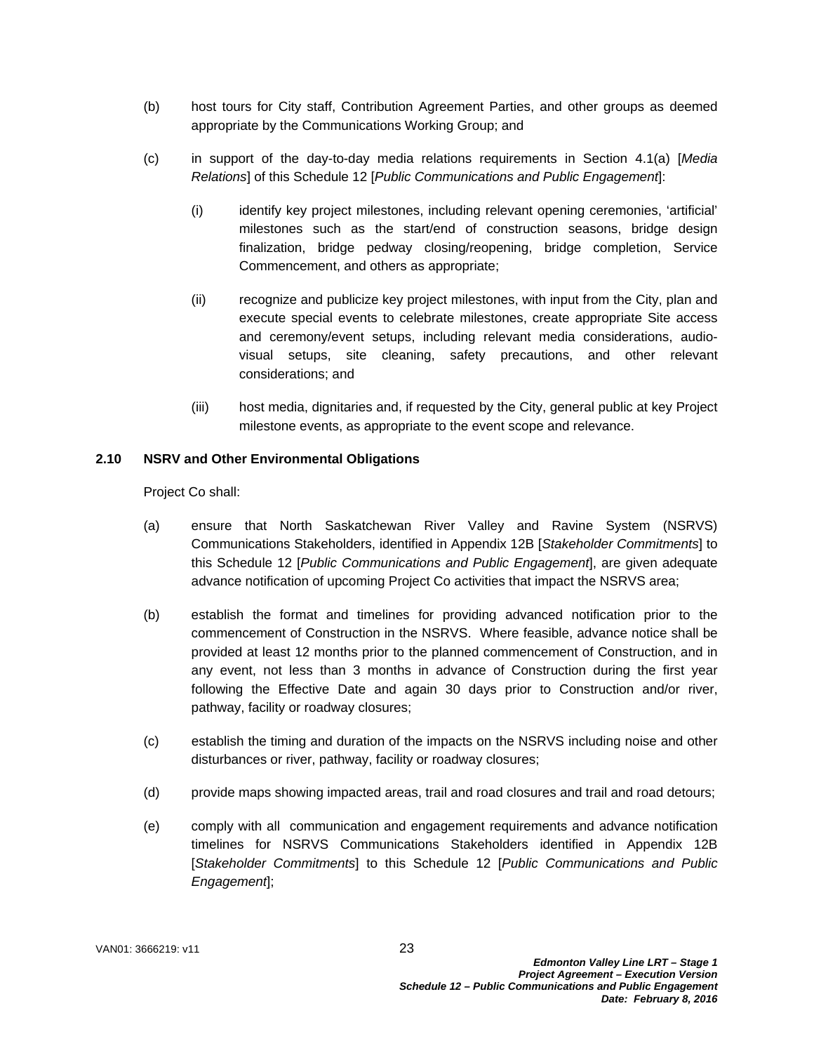- (b) host tours for City staff, Contribution Agreement Parties, and other groups as deemed appropriate by the Communications Working Group; and
- (c) in support of the day-to-day media relations requirements in Section 4.1(a) [*Media Relations*] of this Schedule 12 [*Public Communications and Public Engagement*]:
	- (i) identify key project milestones, including relevant opening ceremonies, 'artificial' milestones such as the start/end of construction seasons, bridge design finalization, bridge pedway closing/reopening, bridge completion, Service Commencement, and others as appropriate;
	- (ii) recognize and publicize key project milestones, with input from the City, plan and execute special events to celebrate milestones, create appropriate Site access and ceremony/event setups, including relevant media considerations, audiovisual setups, site cleaning, safety precautions, and other relevant considerations; and
	- (iii) host media, dignitaries and, if requested by the City, general public at key Project milestone events, as appropriate to the event scope and relevance.

## **2.10 NSRV and Other Environmental Obligations**

Project Co shall:

- (a) ensure that North Saskatchewan River Valley and Ravine System (NSRVS) Communications Stakeholders, identified in Appendix 12B [*Stakeholder Commitments*] to this Schedule 12 [*Public Communications and Public Engagement*], are given adequate advance notification of upcoming Project Co activities that impact the NSRVS area;
- (b) establish the format and timelines for providing advanced notification prior to the commencement of Construction in the NSRVS. Where feasible, advance notice shall be provided at least 12 months prior to the planned commencement of Construction, and in any event, not less than 3 months in advance of Construction during the first year following the Effective Date and again 30 days prior to Construction and/or river, pathway, facility or roadway closures;
- (c) establish the timing and duration of the impacts on the NSRVS including noise and other disturbances or river, pathway, facility or roadway closures;
- (d) provide maps showing impacted areas, trail and road closures and trail and road detours;
- (e) comply with all communication and engagement requirements and advance notification timelines for NSRVS Communications Stakeholders identified in Appendix 12B [*Stakeholder Commitments*] to this Schedule 12 [*Public Communications and Public Engagement*];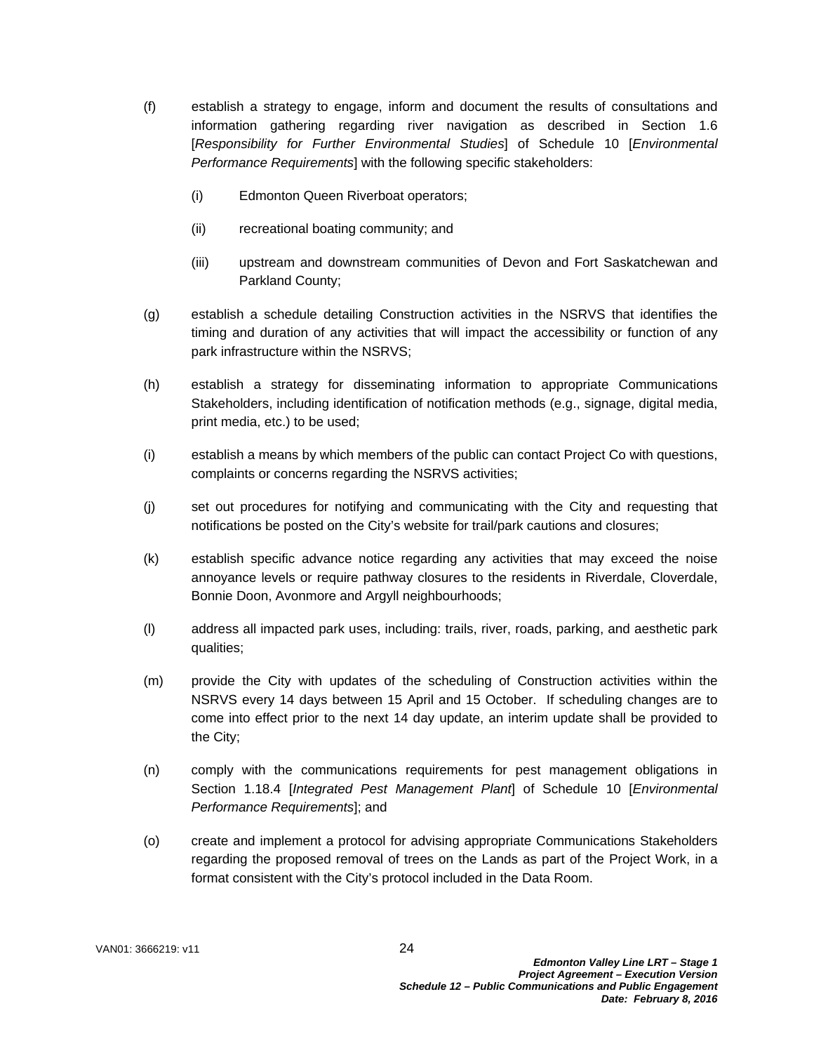- (f) establish a strategy to engage, inform and document the results of consultations and information gathering regarding river navigation as described in Section 1.6 [*Responsibility for Further Environmental Studies*] of Schedule 10 [*Environmental Performance Requirements*] with the following specific stakeholders:
	- (i) Edmonton Queen Riverboat operators;
	- (ii) recreational boating community; and
	- (iii) upstream and downstream communities of Devon and Fort Saskatchewan and Parkland County;
- (g) establish a schedule detailing Construction activities in the NSRVS that identifies the timing and duration of any activities that will impact the accessibility or function of any park infrastructure within the NSRVS;
- (h) establish a strategy for disseminating information to appropriate Communications Stakeholders, including identification of notification methods (e.g., signage, digital media, print media, etc.) to be used;
- (i) establish a means by which members of the public can contact Project Co with questions, complaints or concerns regarding the NSRVS activities;
- (j) set out procedures for notifying and communicating with the City and requesting that notifications be posted on the City's website for trail/park cautions and closures;
- (k) establish specific advance notice regarding any activities that may exceed the noise annoyance levels or require pathway closures to the residents in Riverdale, Cloverdale, Bonnie Doon, Avonmore and Argyll neighbourhoods;
- (l) address all impacted park uses, including: trails, river, roads, parking, and aesthetic park qualities;
- (m) provide the City with updates of the scheduling of Construction activities within the NSRVS every 14 days between 15 April and 15 October. If scheduling changes are to come into effect prior to the next 14 day update, an interim update shall be provided to the City;
- (n) comply with the communications requirements for pest management obligations in Section 1.18.4 [*Integrated Pest Management Plant*] of Schedule 10 [*Environmental Performance Requirements*]; and
- (o) create and implement a protocol for advising appropriate Communications Stakeholders regarding the proposed removal of trees on the Lands as part of the Project Work, in a format consistent with the City's protocol included in the Data Room.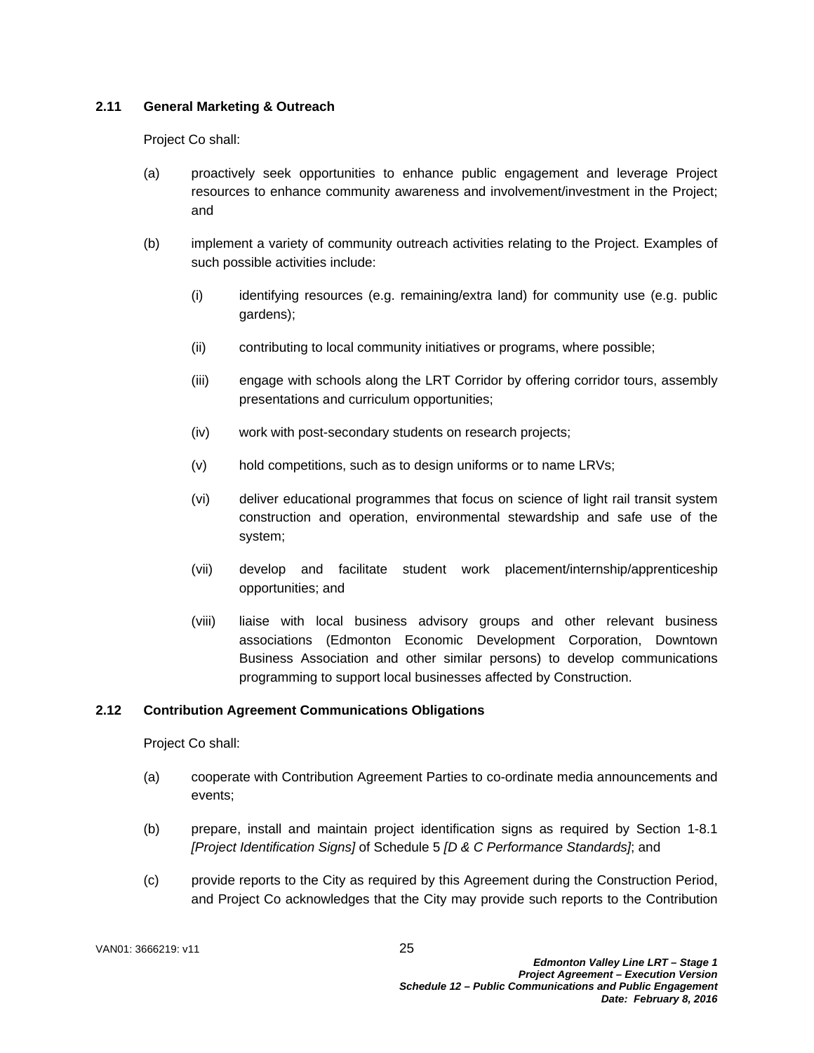## **2.11 General Marketing & Outreach**

Project Co shall:

- (a) proactively seek opportunities to enhance public engagement and leverage Project resources to enhance community awareness and involvement/investment in the Project; and
- (b) implement a variety of community outreach activities relating to the Project. Examples of such possible activities include:
	- (i) identifying resources (e.g. remaining/extra land) for community use (e.g. public gardens);
	- (ii) contributing to local community initiatives or programs, where possible;
	- (iii) engage with schools along the LRT Corridor by offering corridor tours, assembly presentations and curriculum opportunities;
	- (iv) work with post-secondary students on research projects;
	- (v) hold competitions, such as to design uniforms or to name LRVs;
	- (vi) deliver educational programmes that focus on science of light rail transit system construction and operation, environmental stewardship and safe use of the system;
	- (vii) develop and facilitate student work placement/internship/apprenticeship opportunities; and
	- (viii) liaise with local business advisory groups and other relevant business associations (Edmonton Economic Development Corporation, Downtown Business Association and other similar persons) to develop communications programming to support local businesses affected by Construction.

# **2.12 Contribution Agreement Communications Obligations**

Project Co shall:

- (a) cooperate with Contribution Agreement Parties to co-ordinate media announcements and events;
- (b) prepare, install and maintain project identification signs as required by Section 1-8.1 *[Project Identification Signs]* of Schedule 5 *[D & C Performance Standards]*; and
- (c) provide reports to the City as required by this Agreement during the Construction Period, and Project Co acknowledges that the City may provide such reports to the Contribution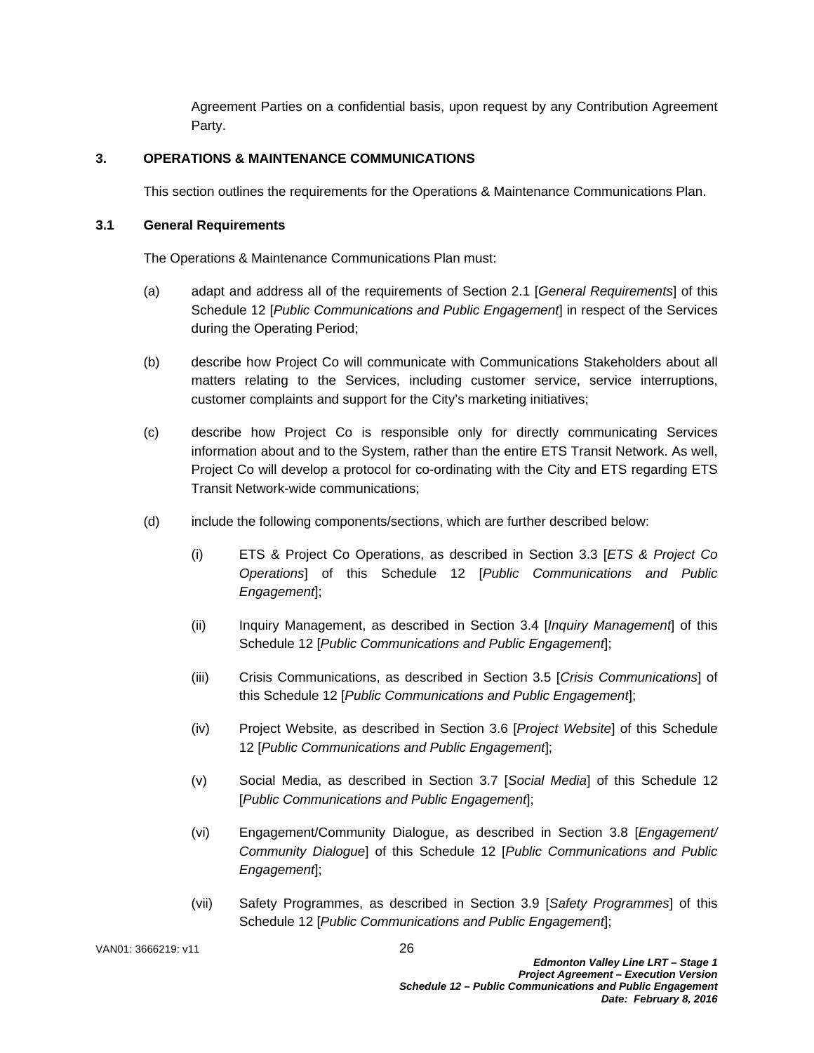Agreement Parties on a confidential basis, upon request by any Contribution Agreement Party.

#### **3. OPERATIONS & MAINTENANCE COMMUNICATIONS**

This section outlines the requirements for the Operations & Maintenance Communications Plan.

#### **3.1 General Requirements**

The Operations & Maintenance Communications Plan must:

- (a) adapt and address all of the requirements of Section 2.1 [*General Requirements*] of this Schedule 12 [*Public Communications and Public Engagement*] in respect of the Services during the Operating Period;
- (b) describe how Project Co will communicate with Communications Stakeholders about all matters relating to the Services, including customer service, service interruptions, customer complaints and support for the City's marketing initiatives;
- (c) describe how Project Co is responsible only for directly communicating Services information about and to the System, rather than the entire ETS Transit Network. As well, Project Co will develop a protocol for co-ordinating with the City and ETS regarding ETS Transit Network-wide communications;
- (d) include the following components/sections, which are further described below:
	- (i) ETS & Project Co Operations, as described in Section 3.3 [*ETS & Project Co Operations*] of this Schedule 12 [*Public Communications and Public Engagement*];
	- (ii) Inquiry Management, as described in Section 3.4 [*Inquiry Management*] of this Schedule 12 [*Public Communications and Public Engagement*];
	- (iii) Crisis Communications, as described in Section 3.5 [*Crisis Communications*] of this Schedule 12 [*Public Communications and Public Engagement*];
	- (iv) Project Website, as described in Section 3.6 [*Project Website*] of this Schedule 12 [*Public Communications and Public Engagement*];
	- (v) Social Media, as described in Section 3.7 [*Social Media*] of this Schedule 12 [*Public Communications and Public Engagement*];
	- (vi) Engagement/Community Dialogue, as described in Section 3.8 [*Engagement/ Community Dialogue*] of this Schedule 12 [*Public Communications and Public Engagement*];
	- (vii) Safety Programmes, as described in Section 3.9 [*Safety Programmes*] of this Schedule 12 [*Public Communications and Public Engagement*];

VAN01: 3666219: v11 26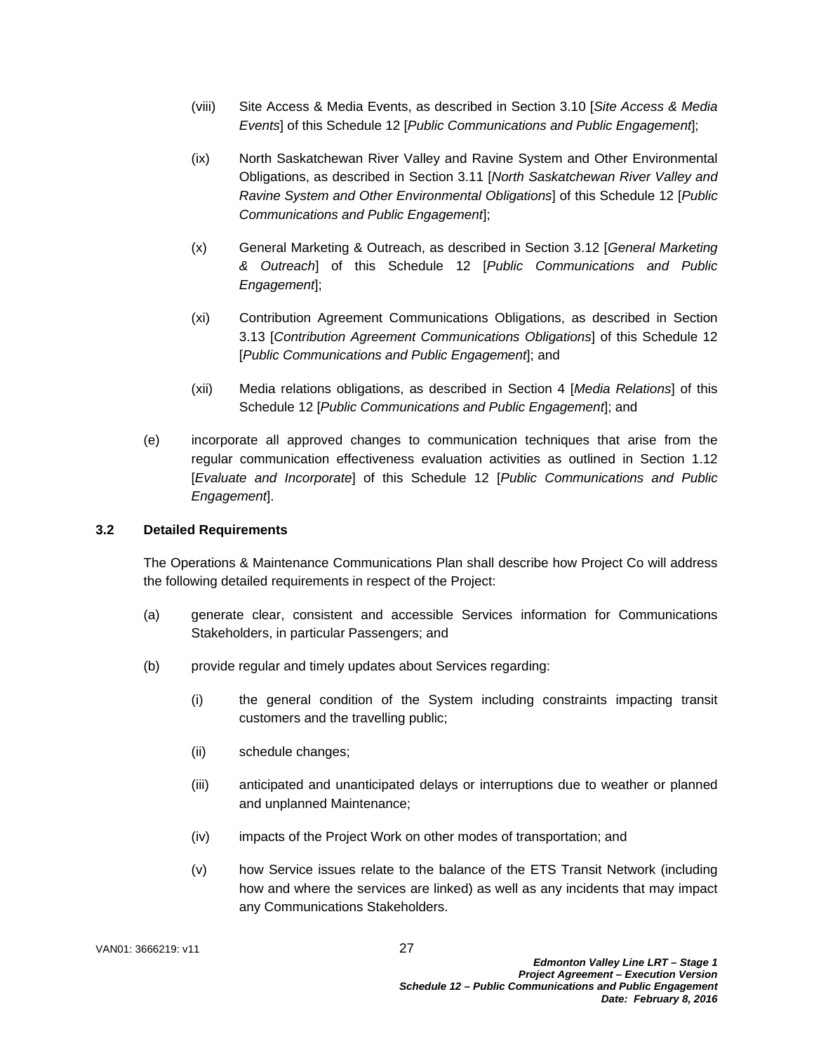- (viii) Site Access & Media Events, as described in Section 3.10 [*Site Access & Media Events*] of this Schedule 12 [*Public Communications and Public Engagement*];
- (ix) North Saskatchewan River Valley and Ravine System and Other Environmental Obligations, as described in Section 3.11 [*North Saskatchewan River Valley and Ravine System and Other Environmental Obligations*] of this Schedule 12 [*Public Communications and Public Engagement*];
- (x) General Marketing & Outreach, as described in Section 3.12 [*General Marketing & Outreach*] of this Schedule 12 [*Public Communications and Public Engagement*];
- (xi) Contribution Agreement Communications Obligations, as described in Section 3.13 [*Contribution Agreement Communications Obligations*] of this Schedule 12 [*Public Communications and Public Engagement*]; and
- (xii) Media relations obligations, as described in Section 4 [*Media Relations*] of this Schedule 12 [*Public Communications and Public Engagement*]; and
- (e) incorporate all approved changes to communication techniques that arise from the regular communication effectiveness evaluation activities as outlined in Section 1.12 [*Evaluate and Incorporate*] of this Schedule 12 [*Public Communications and Public Engagement*].

#### **3.2 Detailed Requirements**

The Operations & Maintenance Communications Plan shall describe how Project Co will address the following detailed requirements in respect of the Project:

- (a) generate clear, consistent and accessible Services information for Communications Stakeholders, in particular Passengers; and
- (b) provide regular and timely updates about Services regarding:
	- (i) the general condition of the System including constraints impacting transit customers and the travelling public;
	- (ii) schedule changes;
	- (iii) anticipated and unanticipated delays or interruptions due to weather or planned and unplanned Maintenance;
	- (iv) impacts of the Project Work on other modes of transportation; and
	- (v) how Service issues relate to the balance of the ETS Transit Network (including how and where the services are linked) as well as any incidents that may impact any Communications Stakeholders.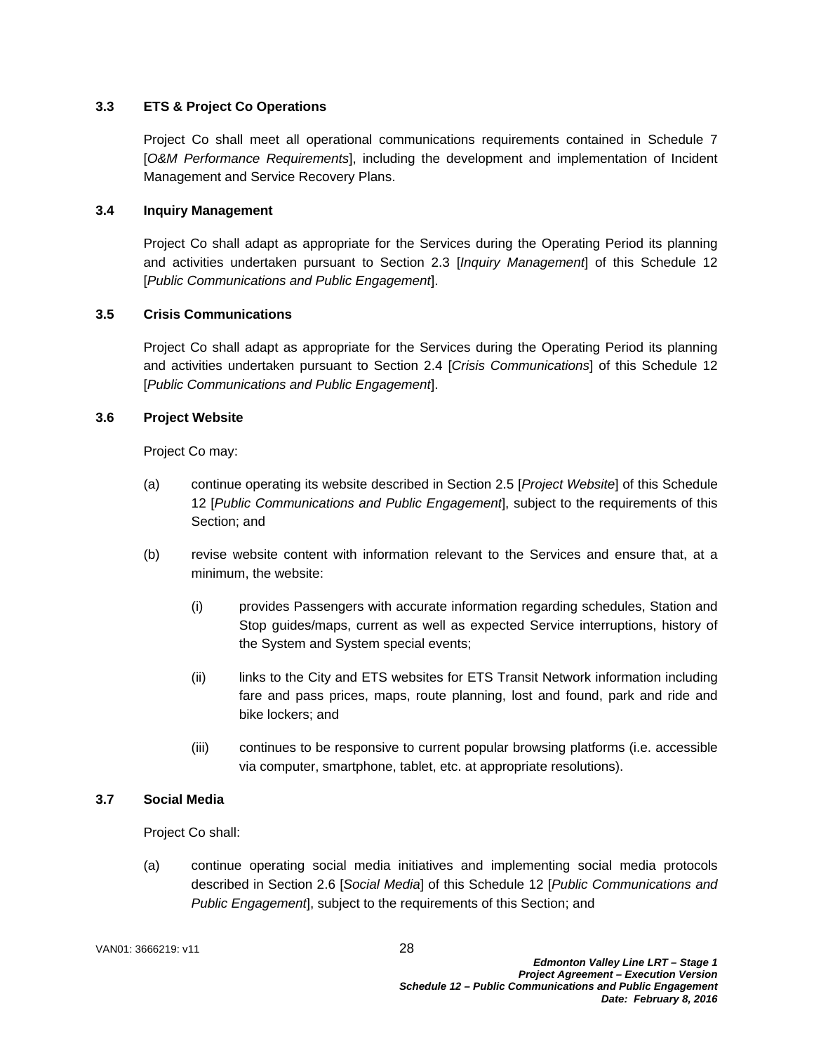# **3.3 ETS & Project Co Operations**

Project Co shall meet all operational communications requirements contained in Schedule 7 [*O&M Performance Requirements*], including the development and implementation of Incident Management and Service Recovery Plans.

#### **3.4 Inquiry Management**

Project Co shall adapt as appropriate for the Services during the Operating Period its planning and activities undertaken pursuant to Section 2.3 [*Inquiry Management*] of this Schedule 12 [*Public Communications and Public Engagement*].

## **3.5 Crisis Communications**

Project Co shall adapt as appropriate for the Services during the Operating Period its planning and activities undertaken pursuant to Section 2.4 [*Crisis Communications*] of this Schedule 12 [*Public Communications and Public Engagement*].

## **3.6 Project Website**

Project Co may:

- (a) continue operating its website described in Section 2.5 [*Project Website*] of this Schedule 12 [*Public Communications and Public Engagement*], subject to the requirements of this Section; and
- (b) revise website content with information relevant to the Services and ensure that, at a minimum, the website:
	- (i) provides Passengers with accurate information regarding schedules, Station and Stop guides/maps, current as well as expected Service interruptions, history of the System and System special events;
	- (ii) links to the City and ETS websites for ETS Transit Network information including fare and pass prices, maps, route planning, lost and found, park and ride and bike lockers; and
	- (iii) continues to be responsive to current popular browsing platforms (i.e. accessible via computer, smartphone, tablet, etc. at appropriate resolutions).

#### **3.7 Social Media**

Project Co shall:

(a) continue operating social media initiatives and implementing social media protocols described in Section 2.6 [*Social Media*] of this Schedule 12 [*Public Communications and Public Engagement*], subject to the requirements of this Section; and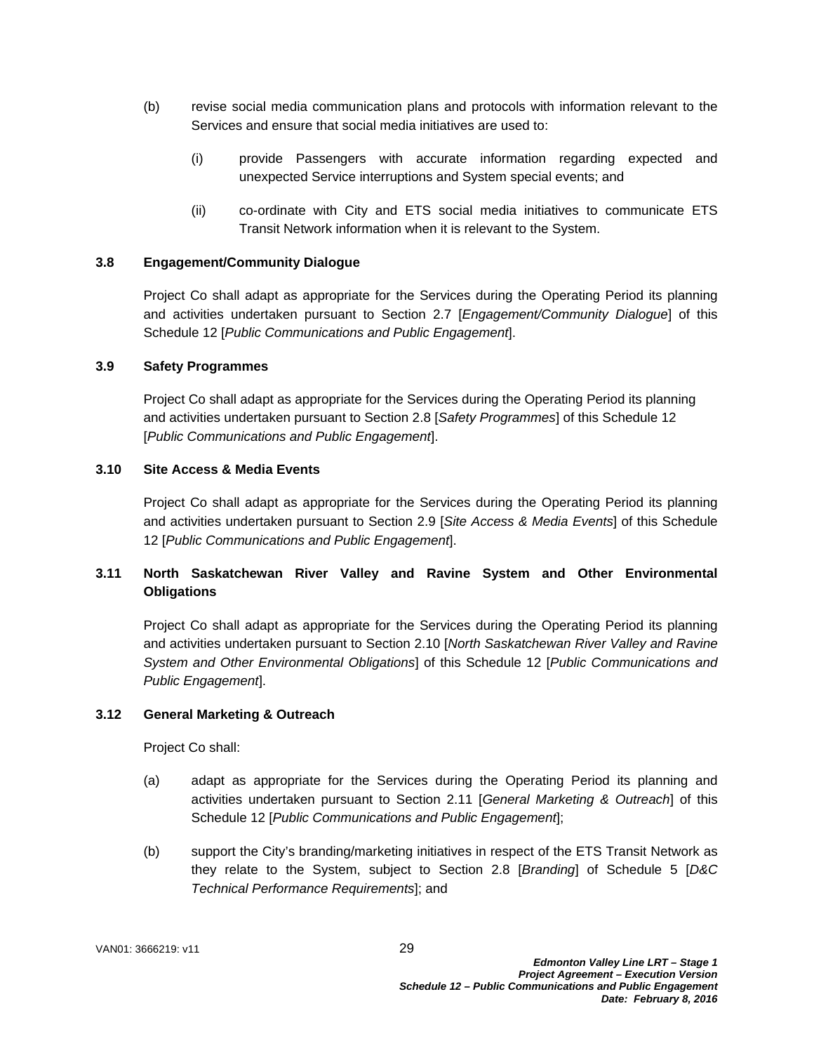- (b) revise social media communication plans and protocols with information relevant to the Services and ensure that social media initiatives are used to:
	- (i) provide Passengers with accurate information regarding expected and unexpected Service interruptions and System special events; and
	- (ii) co-ordinate with City and ETS social media initiatives to communicate ETS Transit Network information when it is relevant to the System.

## **3.8 Engagement/Community Dialogue**

Project Co shall adapt as appropriate for the Services during the Operating Period its planning and activities undertaken pursuant to Section 2.7 [*Engagement/Community Dialogue*] of this Schedule 12 [*Public Communications and Public Engagement*].

#### **3.9 Safety Programmes**

Project Co shall adapt as appropriate for the Services during the Operating Period its planning and activities undertaken pursuant to Section 2.8 [*Safety Programmes*] of this Schedule 12 [*Public Communications and Public Engagement*].

#### **3.10 Site Access & Media Events**

Project Co shall adapt as appropriate for the Services during the Operating Period its planning and activities undertaken pursuant to Section 2.9 [*Site Access & Media Events*] of this Schedule 12 [*Public Communications and Public Engagement*].

# **3.11 North Saskatchewan River Valley and Ravine System and Other Environmental Obligations**

Project Co shall adapt as appropriate for the Services during the Operating Period its planning and activities undertaken pursuant to Section 2.10 [*North Saskatchewan River Valley and Ravine System and Other Environmental Obligations*] of this Schedule 12 [*Public Communications and Public Engagement*].

# **3.12 General Marketing & Outreach**

Project Co shall:

- (a) adapt as appropriate for the Services during the Operating Period its planning and activities undertaken pursuant to Section 2.11 [*General Marketing & Outreach*] of this Schedule 12 [*Public Communications and Public Engagement*];
- (b) support the City's branding/marketing initiatives in respect of the ETS Transit Network as they relate to the System, subject to Section 2.8 [*Branding*] of Schedule 5 [*D&C Technical Performance Requirements*]; and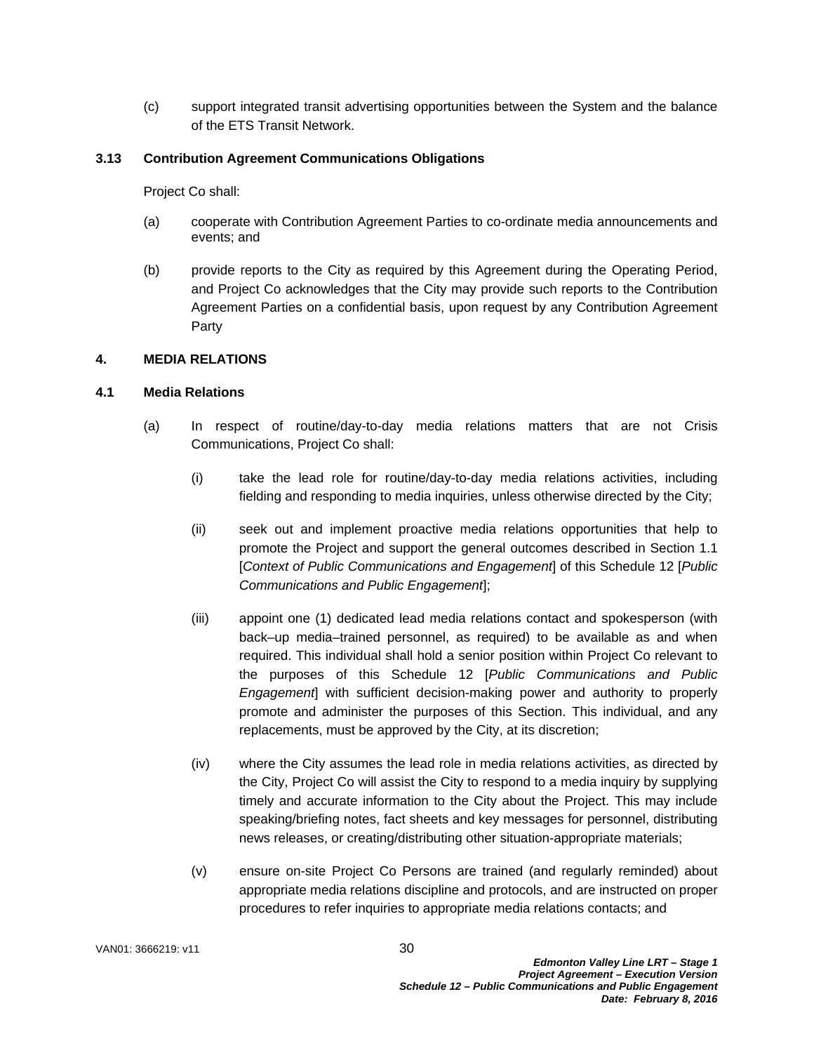(c) support integrated transit advertising opportunities between the System and the balance of the ETS Transit Network.

#### **3.13 Contribution Agreement Communications Obligations**

Project Co shall:

- (a) cooperate with Contribution Agreement Parties to co-ordinate media announcements and events; and
- (b) provide reports to the City as required by this Agreement during the Operating Period, and Project Co acknowledges that the City may provide such reports to the Contribution Agreement Parties on a confidential basis, upon request by any Contribution Agreement Party

# **4. MEDIA RELATIONS**

## **4.1 Media Relations**

- (a) In respect of routine/day-to-day media relations matters that are not Crisis Communications, Project Co shall:
	- (i) take the lead role for routine/day-to-day media relations activities, including fielding and responding to media inquiries, unless otherwise directed by the City;
	- (ii) seek out and implement proactive media relations opportunities that help to promote the Project and support the general outcomes described in Section 1.1 [*Context of Public Communications and Engagement*] of this Schedule 12 [*Public Communications and Public Engagement*];
	- (iii) appoint one (1) dedicated lead media relations contact and spokesperson (with back–up media–trained personnel, as required) to be available as and when required. This individual shall hold a senior position within Project Co relevant to the purposes of this Schedule 12 [*Public Communications and Public Engagement*] with sufficient decision-making power and authority to properly promote and administer the purposes of this Section. This individual, and any replacements, must be approved by the City, at its discretion;
	- (iv) where the City assumes the lead role in media relations activities, as directed by the City, Project Co will assist the City to respond to a media inquiry by supplying timely and accurate information to the City about the Project. This may include speaking/briefing notes, fact sheets and key messages for personnel, distributing news releases, or creating/distributing other situation-appropriate materials;
	- (v) ensure on-site Project Co Persons are trained (and regularly reminded) about appropriate media relations discipline and protocols, and are instructed on proper procedures to refer inquiries to appropriate media relations contacts; and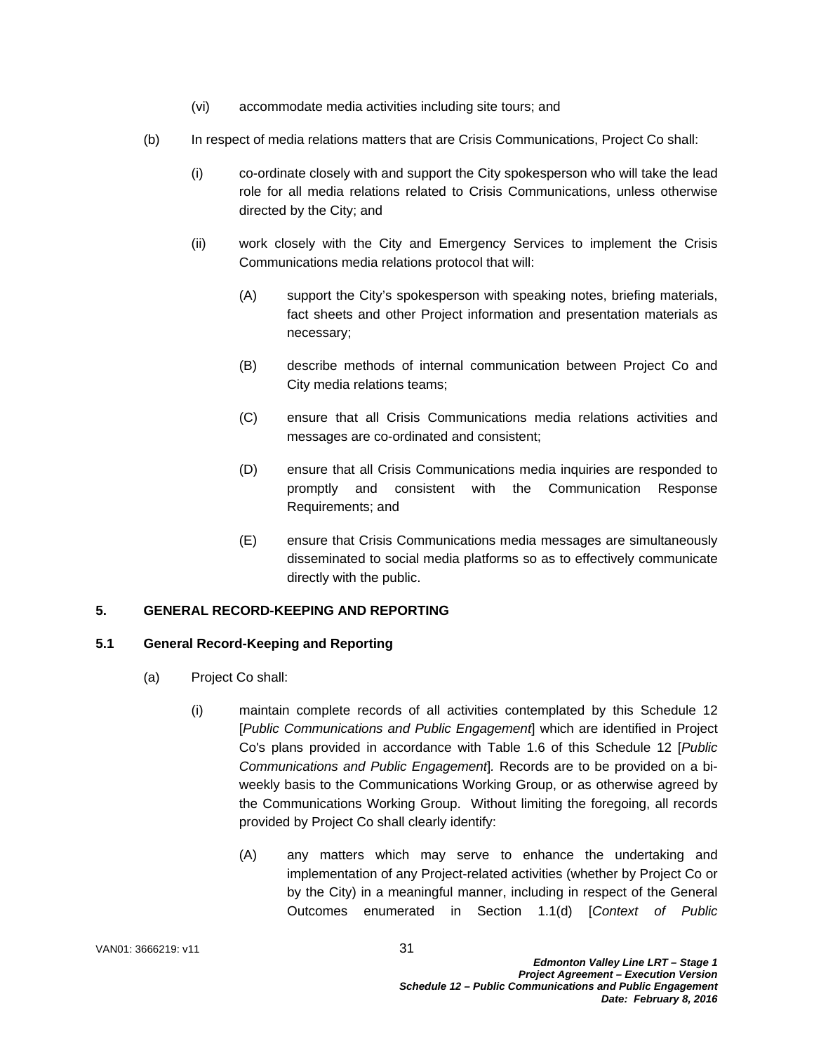- (vi) accommodate media activities including site tours; and
- (b) In respect of media relations matters that are Crisis Communications, Project Co shall:
	- (i) co-ordinate closely with and support the City spokesperson who will take the lead role for all media relations related to Crisis Communications, unless otherwise directed by the City; and
	- (ii) work closely with the City and Emergency Services to implement the Crisis Communications media relations protocol that will:
		- (A) support the City's spokesperson with speaking notes, briefing materials, fact sheets and other Project information and presentation materials as necessary;
		- (B) describe methods of internal communication between Project Co and City media relations teams;
		- (C) ensure that all Crisis Communications media relations activities and messages are co-ordinated and consistent;
		- (D) ensure that all Crisis Communications media inquiries are responded to promptly and consistent with the Communication Response Requirements; and
		- (E) ensure that Crisis Communications media messages are simultaneously disseminated to social media platforms so as to effectively communicate directly with the public.

#### **5. GENERAL RECORD-KEEPING AND REPORTING**

#### **5.1 General Record-Keeping and Reporting**

- (a) Project Co shall:
	- (i) maintain complete records of all activities contemplated by this Schedule 12 [*Public Communications and Public Engagement*] which are identified in Project Co's plans provided in accordance with Table 1.6 of this Schedule 12 [*Public Communications and Public Engagement*]*.* Records are to be provided on a biweekly basis to the Communications Working Group, or as otherwise agreed by the Communications Working Group. Without limiting the foregoing, all records provided by Project Co shall clearly identify:
		- (A) any matters which may serve to enhance the undertaking and implementation of any Project-related activities (whether by Project Co or by the City) in a meaningful manner, including in respect of the General Outcomes enumerated in Section 1.1(d) [*Context of Public*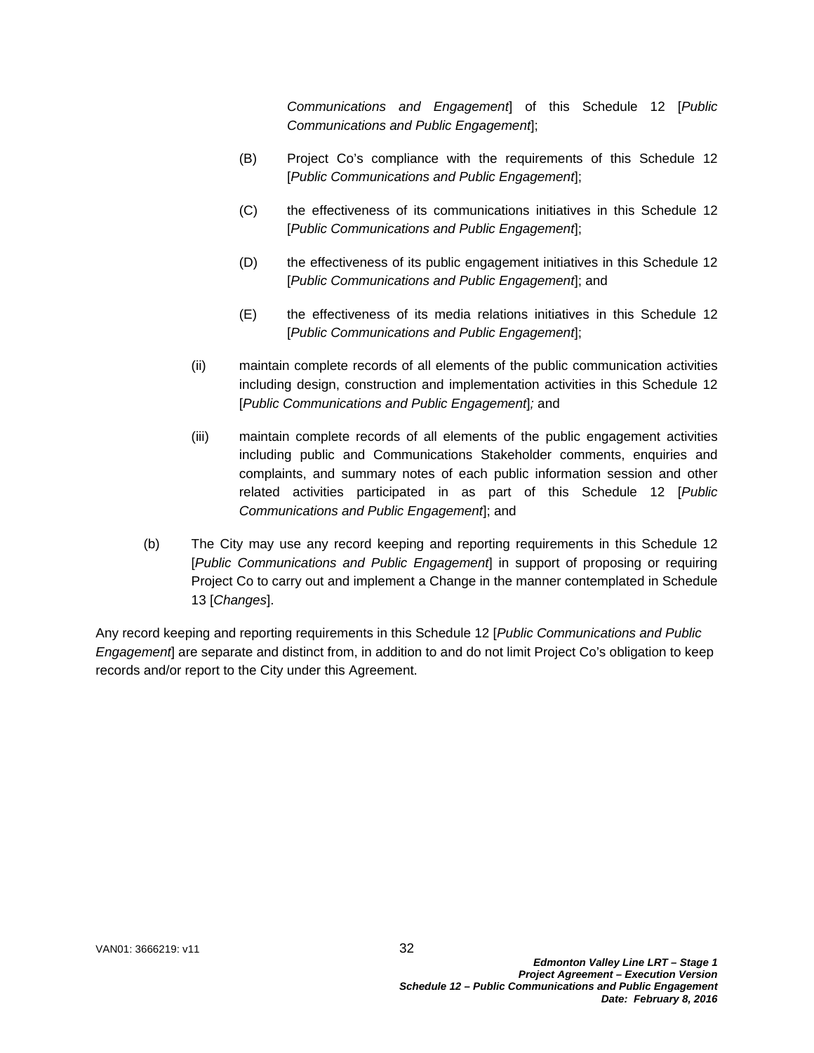*Communications and Engagement*] of this Schedule 12 [*Public Communications and Public Engagement*];

- (B) Project Co's compliance with the requirements of this Schedule 12 [*Public Communications and Public Engagement*];
- (C) the effectiveness of its communications initiatives in this Schedule 12 [*Public Communications and Public Engagement*];
- (D) the effectiveness of its public engagement initiatives in this Schedule 12 [*Public Communications and Public Engagement*]; and
- (E) the effectiveness of its media relations initiatives in this Schedule 12 [*Public Communications and Public Engagement*];
- (ii) maintain complete records of all elements of the public communication activities including design, construction and implementation activities in this Schedule 12 [*Public Communications and Public Engagement*]*;* and
- (iii) maintain complete records of all elements of the public engagement activities including public and Communications Stakeholder comments, enquiries and complaints, and summary notes of each public information session and other related activities participated in as part of this Schedule 12 [*Public Communications and Public Engagement*]; and
- (b) The City may use any record keeping and reporting requirements in this Schedule 12 [*Public Communications and Public Engagement*] in support of proposing or requiring Project Co to carry out and implement a Change in the manner contemplated in Schedule 13 [*Changes*].

Any record keeping and reporting requirements in this Schedule 12 [*Public Communications and Public Engagement*] are separate and distinct from, in addition to and do not limit Project Co's obligation to keep records and/or report to the City under this Agreement.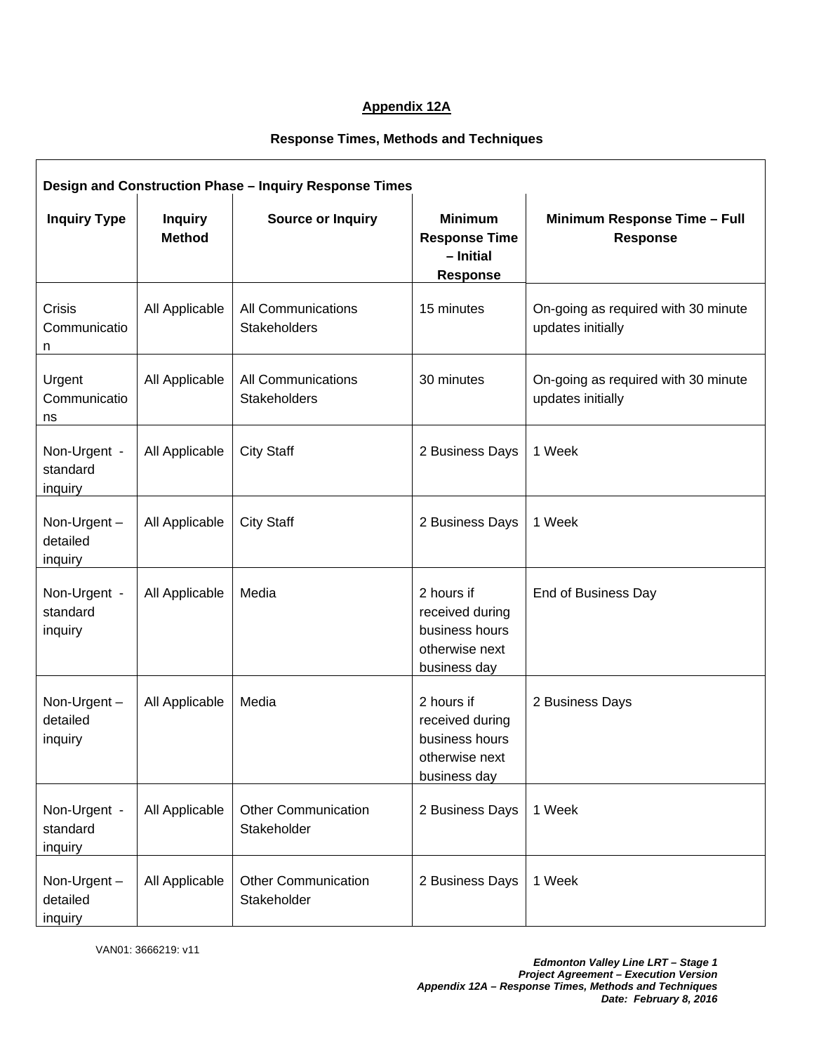# **Appendix 12A**

# **Response Times, Methods and Techniques**

| Design and Construction Phase - Inquiry Response Times |                                 |                                           |                                                                                   |                                                          |  |  |  |
|--------------------------------------------------------|---------------------------------|-------------------------------------------|-----------------------------------------------------------------------------------|----------------------------------------------------------|--|--|--|
| <b>Inquiry Type</b>                                    | <b>Inquiry</b><br><b>Method</b> | <b>Source or Inquiry</b>                  | <b>Minimum</b><br><b>Response Time</b><br>- Initial<br><b>Response</b>            | Minimum Response Time - Full<br><b>Response</b>          |  |  |  |
| Crisis<br>Communicatio<br>n                            | All Applicable                  | All Communications<br>Stakeholders        | 15 minutes                                                                        | On-going as required with 30 minute<br>updates initially |  |  |  |
| Urgent<br>Communicatio<br>ns                           | All Applicable                  | All Communications<br>Stakeholders        | 30 minutes                                                                        | On-going as required with 30 minute<br>updates initially |  |  |  |
| Non-Urgent -<br>standard<br>inquiry                    | All Applicable                  | <b>City Staff</b>                         | 2 Business Days                                                                   | 1 Week                                                   |  |  |  |
| Non-Urgent-<br>detailed<br>inquiry                     | All Applicable                  | <b>City Staff</b>                         | 2 Business Days                                                                   | 1 Week                                                   |  |  |  |
| Non-Urgent -<br>standard<br>inquiry                    | All Applicable                  | Media                                     | 2 hours if<br>received during<br>business hours<br>otherwise next<br>business day | End of Business Day                                      |  |  |  |
| Non-Urgent-<br>detailed<br>inquiry                     | All Applicable                  | Media                                     | 2 hours if<br>received during<br>business hours<br>otherwise next<br>business day | 2 Business Days                                          |  |  |  |
| Non-Urgent -<br>standard<br>inquiry                    | All Applicable                  | <b>Other Communication</b><br>Stakeholder | 2 Business Days                                                                   | 1 Week                                                   |  |  |  |
| Non-Urgent-<br>detailed<br>inquiry                     | All Applicable                  | <b>Other Communication</b><br>Stakeholder | 2 Business Days                                                                   | 1 Week                                                   |  |  |  |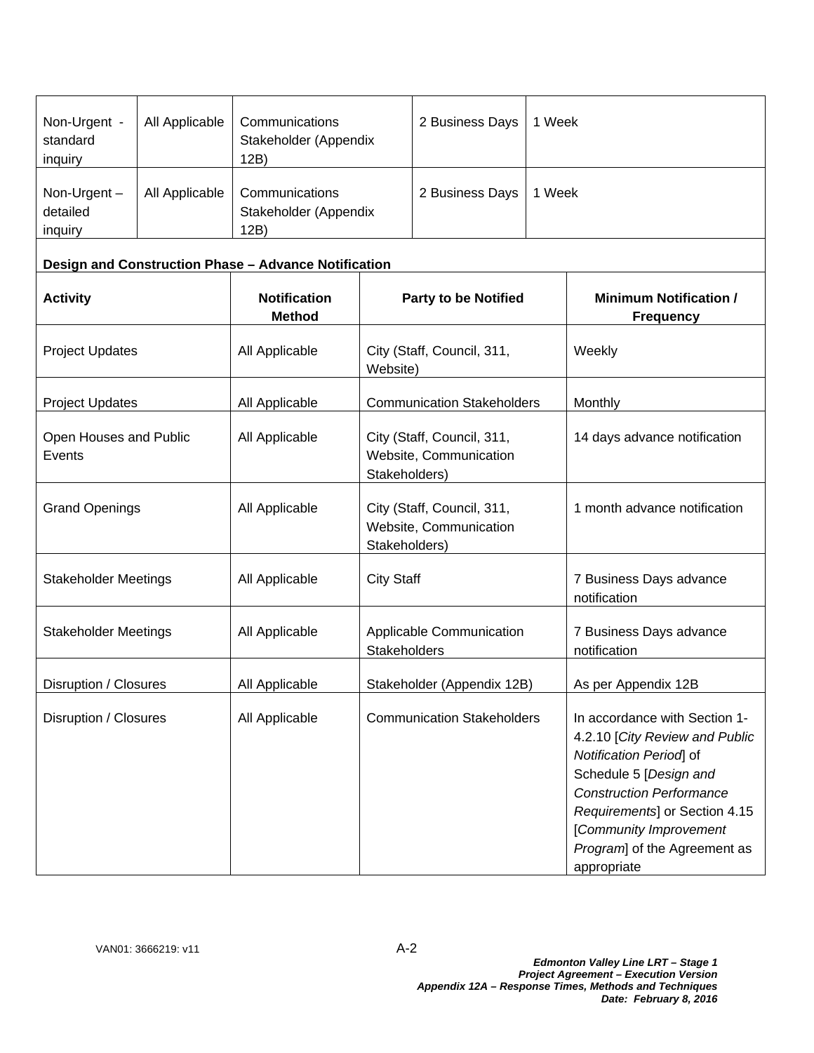| Non-Urgent -<br>standard<br>inquiry   | All Applicable | Communications<br>Stakeholder (Appendix<br>12B) | 2 Business Days | 1 Week |
|---------------------------------------|----------------|-------------------------------------------------|-----------------|--------|
| Non-Urgent $-$<br>detailed<br>inquiry | All Applicable | Communications<br>Stakeholder (Appendix<br>12B) | 2 Business Days | 1 Week |

# **Design and Construction Phase – Advance Notification**

| <b>Activity</b>                  | <b>Notification</b><br><b>Method</b> | <b>Party to be Notified</b>                                           | <b>Minimum Notification /</b><br><b>Frequency</b>                                                                                                                                                                                                                |
|----------------------------------|--------------------------------------|-----------------------------------------------------------------------|------------------------------------------------------------------------------------------------------------------------------------------------------------------------------------------------------------------------------------------------------------------|
| <b>Project Updates</b>           | All Applicable                       | City (Staff, Council, 311,<br>Website)                                | Weekly                                                                                                                                                                                                                                                           |
| <b>Project Updates</b>           | All Applicable                       | <b>Communication Stakeholders</b>                                     | Monthly                                                                                                                                                                                                                                                          |
| Open Houses and Public<br>Events | All Applicable                       | City (Staff, Council, 311,<br>Website, Communication<br>Stakeholders) | 14 days advance notification                                                                                                                                                                                                                                     |
| <b>Grand Openings</b>            | All Applicable                       | City (Staff, Council, 311,<br>Website, Communication<br>Stakeholders) | 1 month advance notification                                                                                                                                                                                                                                     |
| <b>Stakeholder Meetings</b>      | All Applicable                       | <b>City Staff</b>                                                     | 7 Business Days advance<br>notification                                                                                                                                                                                                                          |
| <b>Stakeholder Meetings</b>      | All Applicable                       | Applicable Communication<br><b>Stakeholders</b>                       | 7 Business Days advance<br>notification                                                                                                                                                                                                                          |
| Disruption / Closures            | All Applicable                       | Stakeholder (Appendix 12B)                                            | As per Appendix 12B                                                                                                                                                                                                                                              |
| Disruption / Closures            | All Applicable                       | <b>Communication Stakeholders</b>                                     | In accordance with Section 1-<br>4.2.10 [City Review and Public<br>Notification Period of<br>Schedule 5 [Design and<br><b>Construction Performance</b><br>Requirements] or Section 4.15<br>[Community Improvement<br>Program] of the Agreement as<br>appropriate |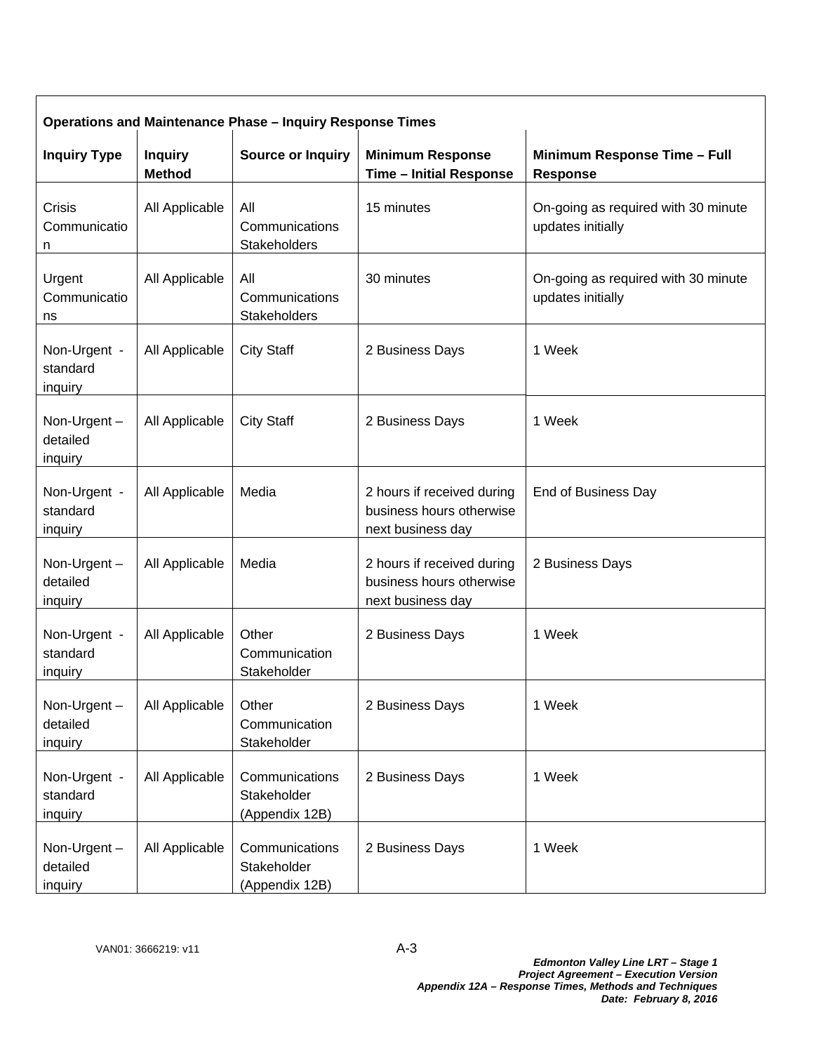| <b>Operations and Maintenance Phase - Inquiry Response Times</b> |                                 |                                                 |                                                                             |                                                          |  |  |
|------------------------------------------------------------------|---------------------------------|-------------------------------------------------|-----------------------------------------------------------------------------|----------------------------------------------------------|--|--|
| <b>Inquiry Type</b>                                              | <b>Inquiry</b><br><b>Method</b> | <b>Source or Inquiry</b>                        | <b>Minimum Response</b><br><b>Time - Initial Response</b>                   | Minimum Response Time - Full<br><b>Response</b>          |  |  |
| Crisis<br>Communicatio<br>n                                      | All Applicable                  | All<br>Communications<br>Stakeholders           | 15 minutes                                                                  | On-going as required with 30 minute<br>updates initially |  |  |
| Urgent<br>Communicatio<br>ns                                     | All Applicable                  | All<br>Communications<br>Stakeholders           | 30 minutes                                                                  | On-going as required with 30 minute<br>updates initially |  |  |
| Non-Urgent -<br>standard<br>inquiry                              | All Applicable                  | <b>City Staff</b>                               | 2 Business Days                                                             | 1 Week                                                   |  |  |
| Non-Urgent-<br>detailed<br>inquiry                               | All Applicable                  | <b>City Staff</b>                               | 2 Business Days                                                             | 1 Week                                                   |  |  |
| Non-Urgent -<br>standard<br>inquiry                              | All Applicable                  | Media                                           | 2 hours if received during<br>business hours otherwise<br>next business day | End of Business Day                                      |  |  |
| Non-Urgent-<br>detailed<br>inquiry                               | All Applicable                  | Media                                           | 2 hours if received during<br>business hours otherwise<br>next business day | 2 Business Days                                          |  |  |
| Non-Urgent -<br>standard<br>inquiry                              | All Applicable                  | Other<br>Communication<br>Stakeholder           | 2 Business Days                                                             | 1 Week                                                   |  |  |
| Non-Urgent-<br>detailed<br>inquiry                               | All Applicable                  | Other<br>Communication<br>Stakeholder           | 2 Business Days                                                             | 1 Week                                                   |  |  |
| Non-Urgent -<br>standard<br>inquiry                              | All Applicable                  | Communications<br>Stakeholder<br>(Appendix 12B) | 2 Business Days                                                             | 1 Week                                                   |  |  |
| Non-Urgent-<br>detailed<br>inquiry                               | All Applicable                  | Communications<br>Stakeholder<br>(Appendix 12B) | 2 Business Days                                                             | 1 Week                                                   |  |  |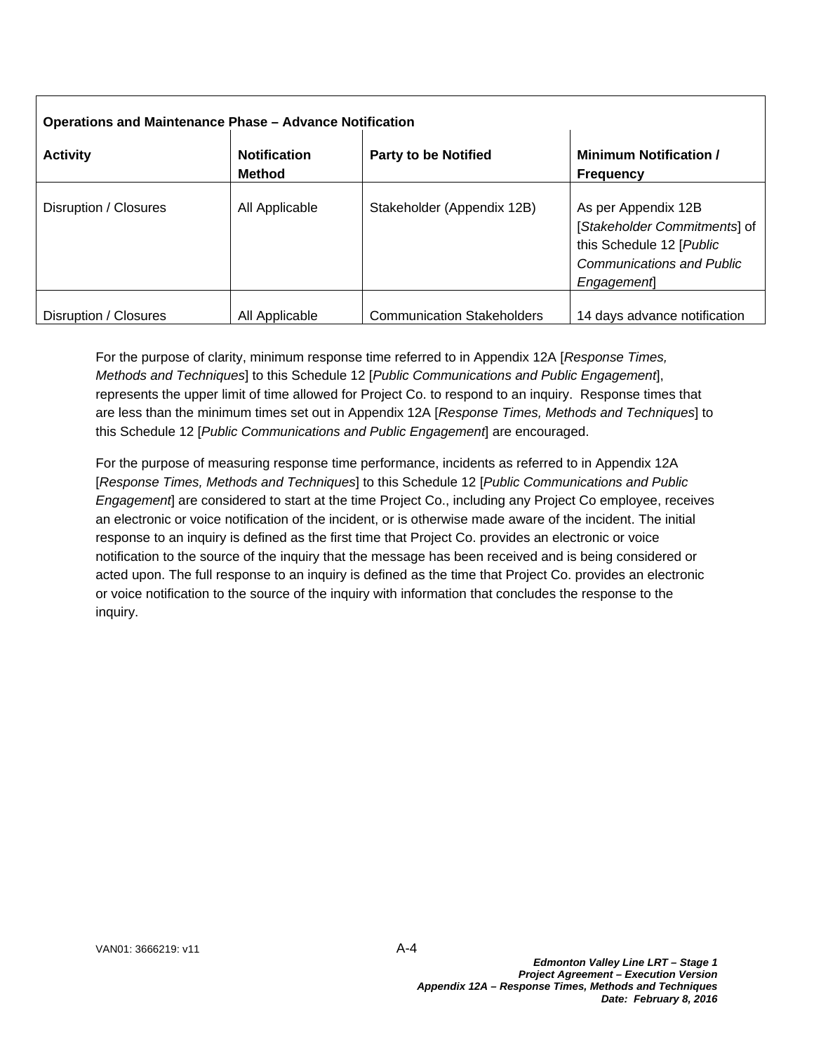| <b>Operations and Maintenance Phase - Advance Notification</b> |                                      |                                   |                                                                                                                                   |  |  |  |
|----------------------------------------------------------------|--------------------------------------|-----------------------------------|-----------------------------------------------------------------------------------------------------------------------------------|--|--|--|
| <b>Activity</b>                                                | <b>Notification</b><br><b>Method</b> | <b>Party to be Notified</b>       | <b>Minimum Notification /</b><br><b>Frequency</b>                                                                                 |  |  |  |
| Disruption / Closures                                          | All Applicable                       | Stakeholder (Appendix 12B)        | As per Appendix 12B<br>[Stakeholder Commitments] of<br>this Schedule 12 [Public<br><b>Communications and Public</b><br>Engagement |  |  |  |
| Disruption / Closures                                          | All Applicable                       | <b>Communication Stakeholders</b> | 14 days advance notification                                                                                                      |  |  |  |

For the purpose of clarity, minimum response time referred to in Appendix 12A [*Response Times, Methods and Techniques*] to this Schedule 12 [*Public Communications and Public Engagement*], represents the upper limit of time allowed for Project Co. to respond to an inquiry. Response times that are less than the minimum times set out in Appendix 12A [*Response Times, Methods and Techniques*] to this Schedule 12 [*Public Communications and Public Engagement*] are encouraged.

For the purpose of measuring response time performance, incidents as referred to in Appendix 12A [*Response Times, Methods and Techniques*] to this Schedule 12 [*Public Communications and Public Engagement*] are considered to start at the time Project Co., including any Project Co employee, receives an electronic or voice notification of the incident, or is otherwise made aware of the incident. The initial response to an inquiry is defined as the first time that Project Co. provides an electronic or voice notification to the source of the inquiry that the message has been received and is being considered or acted upon. The full response to an inquiry is defined as the time that Project Co. provides an electronic or voice notification to the source of the inquiry with information that concludes the response to the inquiry.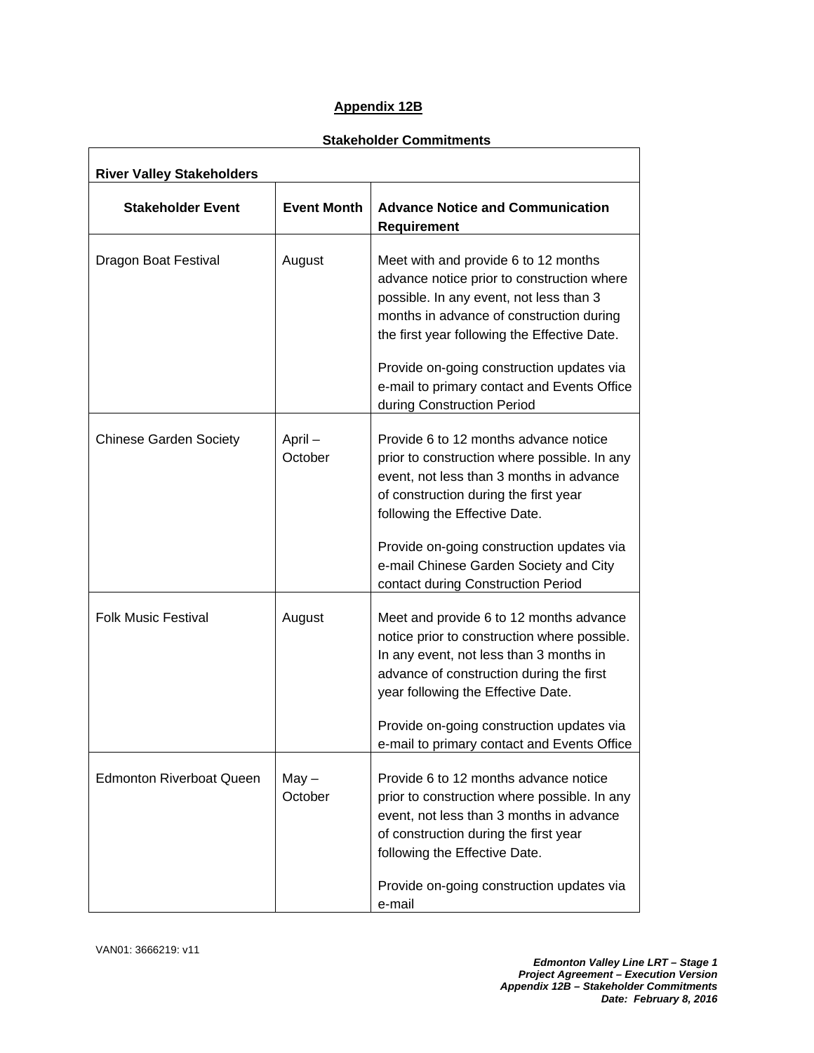# **Appendix 12B**

# **Stakeholder Commitments**

| <b>River Valley Stakeholders</b> |                    |                                                                                                                                                                                                                                                                                                                       |  |  |
|----------------------------------|--------------------|-----------------------------------------------------------------------------------------------------------------------------------------------------------------------------------------------------------------------------------------------------------------------------------------------------------------------|--|--|
| <b>Stakeholder Event</b>         | <b>Event Month</b> | <b>Advance Notice and Communication</b><br><b>Requirement</b>                                                                                                                                                                                                                                                         |  |  |
| Dragon Boat Festival             | August             | Meet with and provide 6 to 12 months<br>advance notice prior to construction where<br>possible. In any event, not less than 3<br>months in advance of construction during<br>the first year following the Effective Date.<br>Provide on-going construction updates via<br>e-mail to primary contact and Events Office |  |  |
|                                  |                    | during Construction Period                                                                                                                                                                                                                                                                                            |  |  |
| <b>Chinese Garden Society</b>    | April-<br>October  | Provide 6 to 12 months advance notice<br>prior to construction where possible. In any<br>event, not less than 3 months in advance<br>of construction during the first year<br>following the Effective Date.                                                                                                           |  |  |
|                                  |                    | Provide on-going construction updates via<br>e-mail Chinese Garden Society and City<br>contact during Construction Period                                                                                                                                                                                             |  |  |
| <b>Folk Music Festival</b>       | August             | Meet and provide 6 to 12 months advance<br>notice prior to construction where possible.<br>In any event, not less than 3 months in<br>advance of construction during the first<br>year following the Effective Date.<br>Provide on-going construction updates via                                                     |  |  |
|                                  |                    | e-mail to primary contact and Events Office                                                                                                                                                                                                                                                                           |  |  |
| <b>Edmonton Riverboat Queen</b>  | $May -$<br>October | Provide 6 to 12 months advance notice<br>prior to construction where possible. In any<br>event, not less than 3 months in advance<br>of construction during the first year<br>following the Effective Date.                                                                                                           |  |  |
|                                  |                    | Provide on-going construction updates via<br>e-mail                                                                                                                                                                                                                                                                   |  |  |

 $\Gamma$ 

٦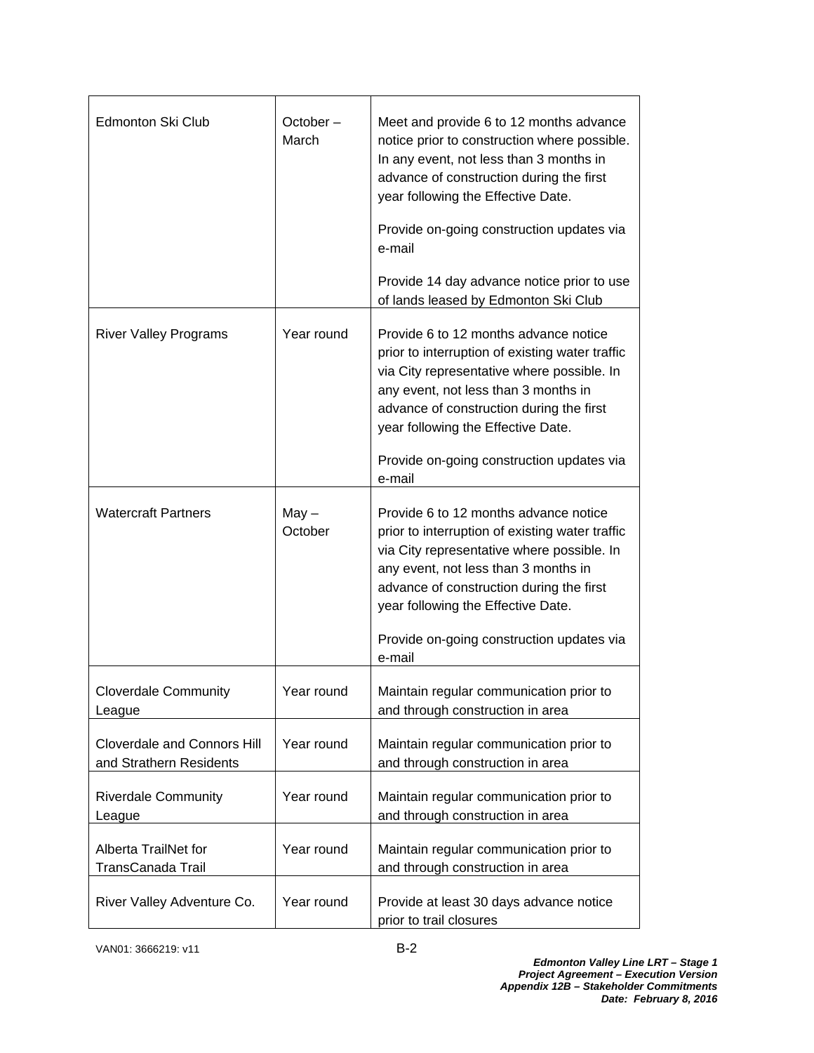| Edmonton Ski Club                                             | $October -$<br>March | Meet and provide 6 to 12 months advance<br>notice prior to construction where possible.<br>In any event, not less than 3 months in<br>advance of construction during the first<br>year following the Effective Date.<br>Provide on-going construction updates via<br>e-mail<br>Provide 14 day advance notice prior to use |
|---------------------------------------------------------------|----------------------|---------------------------------------------------------------------------------------------------------------------------------------------------------------------------------------------------------------------------------------------------------------------------------------------------------------------------|
|                                                               |                      | of lands leased by Edmonton Ski Club                                                                                                                                                                                                                                                                                      |
| <b>River Valley Programs</b>                                  | Year round           | Provide 6 to 12 months advance notice<br>prior to interruption of existing water traffic<br>via City representative where possible. In<br>any event, not less than 3 months in<br>advance of construction during the first<br>year following the Effective Date.<br>Provide on-going construction updates via             |
|                                                               |                      | e-mail                                                                                                                                                                                                                                                                                                                    |
| <b>Watercraft Partners</b>                                    | $May -$<br>October   | Provide 6 to 12 months advance notice<br>prior to interruption of existing water traffic<br>via City representative where possible. In<br>any event, not less than 3 months in<br>advance of construction during the first<br>year following the Effective Date.<br>Provide on-going construction updates via             |
|                                                               |                      | e-mail                                                                                                                                                                                                                                                                                                                    |
| <b>Cloverdale Community</b><br>League                         | Year round           | Maintain regular communication prior to<br>and through construction in area                                                                                                                                                                                                                                               |
| <b>Cloverdale and Connors Hill</b><br>and Strathern Residents | Year round           | Maintain regular communication prior to<br>and through construction in area                                                                                                                                                                                                                                               |
| <b>Riverdale Community</b><br>League                          | Year round           | Maintain regular communication prior to<br>and through construction in area                                                                                                                                                                                                                                               |
| Alberta TrailNet for<br>TransCanada Trail                     | Year round           | Maintain regular communication prior to<br>and through construction in area                                                                                                                                                                                                                                               |
| River Valley Adventure Co.                                    | Year round           | Provide at least 30 days advance notice<br>prior to trail closures                                                                                                                                                                                                                                                        |

VAN01: 3666219: v11 B-2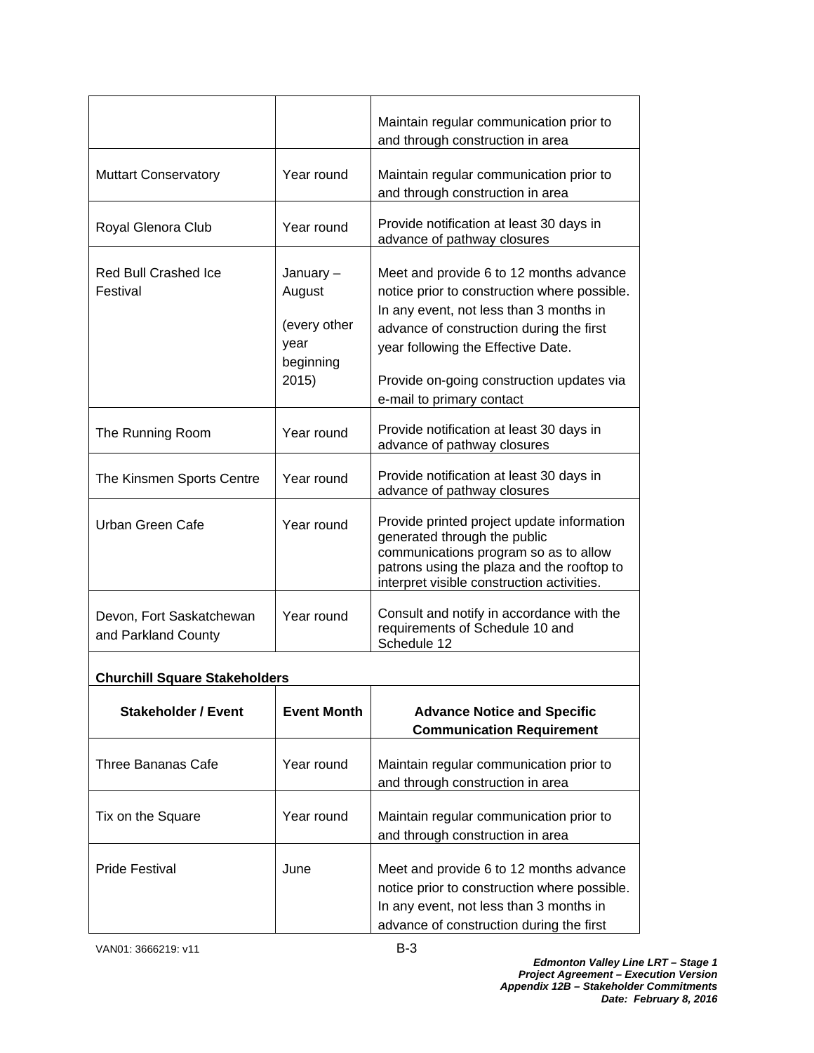|                                                 |                                                                   | Maintain regular communication prior to<br>and through construction in area                                                                                                                                                                                                                    |  |
|-------------------------------------------------|-------------------------------------------------------------------|------------------------------------------------------------------------------------------------------------------------------------------------------------------------------------------------------------------------------------------------------------------------------------------------|--|
| <b>Muttart Conservatory</b>                     | Year round                                                        | Maintain regular communication prior to<br>and through construction in area                                                                                                                                                                                                                    |  |
| Royal Glenora Club                              | Year round                                                        | Provide notification at least 30 days in<br>advance of pathway closures                                                                                                                                                                                                                        |  |
| <b>Red Bull Crashed Ice</b><br>Festival         | January -<br>August<br>(every other<br>year<br>beginning<br>2015) | Meet and provide 6 to 12 months advance<br>notice prior to construction where possible.<br>In any event, not less than 3 months in<br>advance of construction during the first<br>year following the Effective Date.<br>Provide on-going construction updates via<br>e-mail to primary contact |  |
| The Running Room                                | Year round                                                        | Provide notification at least 30 days in<br>advance of pathway closures                                                                                                                                                                                                                        |  |
| The Kinsmen Sports Centre                       | Year round                                                        | Provide notification at least 30 days in<br>advance of pathway closures                                                                                                                                                                                                                        |  |
| Urban Green Cafe                                | Year round                                                        | Provide printed project update information<br>generated through the public<br>communications program so as to allow<br>patrons using the plaza and the rooftop to<br>interpret visible construction activities.                                                                                |  |
| Devon, Fort Saskatchewan<br>and Parkland County | Year round                                                        | Consult and notify in accordance with the<br>requirements of Schedule 10 and<br>Schedule 12                                                                                                                                                                                                    |  |
| <b>Churchill Square Stakeholders</b>            |                                                                   |                                                                                                                                                                                                                                                                                                |  |
| <b>Stakeholder / Event</b>                      | <b>Event Month</b>                                                | <b>Advance Notice and Specific</b><br><b>Communication Requirement</b>                                                                                                                                                                                                                         |  |
| <b>Three Bananas Cafe</b>                       | Year round                                                        | Maintain regular communication prior to<br>and through construction in area                                                                                                                                                                                                                    |  |
| Tix on the Square                               | Year round                                                        | Maintain regular communication prior to<br>and through construction in area                                                                                                                                                                                                                    |  |
| <b>Pride Festival</b>                           | June                                                              | Meet and provide 6 to 12 months advance<br>notice prior to construction where possible.<br>In any event, not less than 3 months in<br>advance of construction during the first                                                                                                                 |  |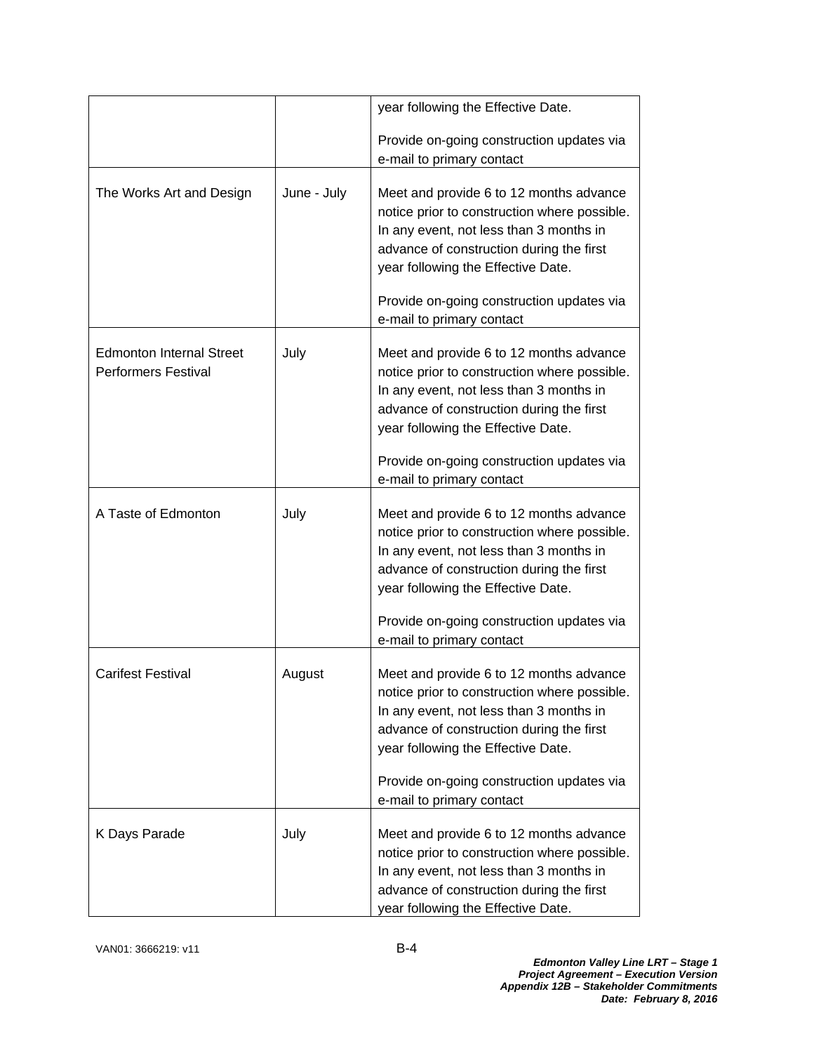|                                                               |             | year following the Effective Date.                                                                                                                                                                                                                                                             |
|---------------------------------------------------------------|-------------|------------------------------------------------------------------------------------------------------------------------------------------------------------------------------------------------------------------------------------------------------------------------------------------------|
|                                                               |             | Provide on-going construction updates via<br>e-mail to primary contact                                                                                                                                                                                                                         |
| The Works Art and Design                                      | June - July | Meet and provide 6 to 12 months advance<br>notice prior to construction where possible.<br>In any event, not less than 3 months in<br>advance of construction during the first<br>year following the Effective Date.<br>Provide on-going construction updates via<br>e-mail to primary contact |
| <b>Edmonton Internal Street</b><br><b>Performers Festival</b> | July        | Meet and provide 6 to 12 months advance<br>notice prior to construction where possible.<br>In any event, not less than 3 months in<br>advance of construction during the first<br>year following the Effective Date.<br>Provide on-going construction updates via<br>e-mail to primary contact |
| A Taste of Edmonton                                           | July        | Meet and provide 6 to 12 months advance<br>notice prior to construction where possible.<br>In any event, not less than 3 months in<br>advance of construction during the first<br>year following the Effective Date.<br>Provide on-going construction updates via<br>e-mail to primary contact |
| <b>Carifest Festival</b>                                      | August      | Meet and provide 6 to 12 months advance<br>notice prior to construction where possible.<br>In any event, not less than 3 months in<br>advance of construction during the first<br>year following the Effective Date.<br>Provide on-going construction updates via                              |
| K Days Parade                                                 | July        | e-mail to primary contact<br>Meet and provide 6 to 12 months advance<br>notice prior to construction where possible.<br>In any event, not less than 3 months in<br>advance of construction during the first<br>year following the Effective Date.                                              |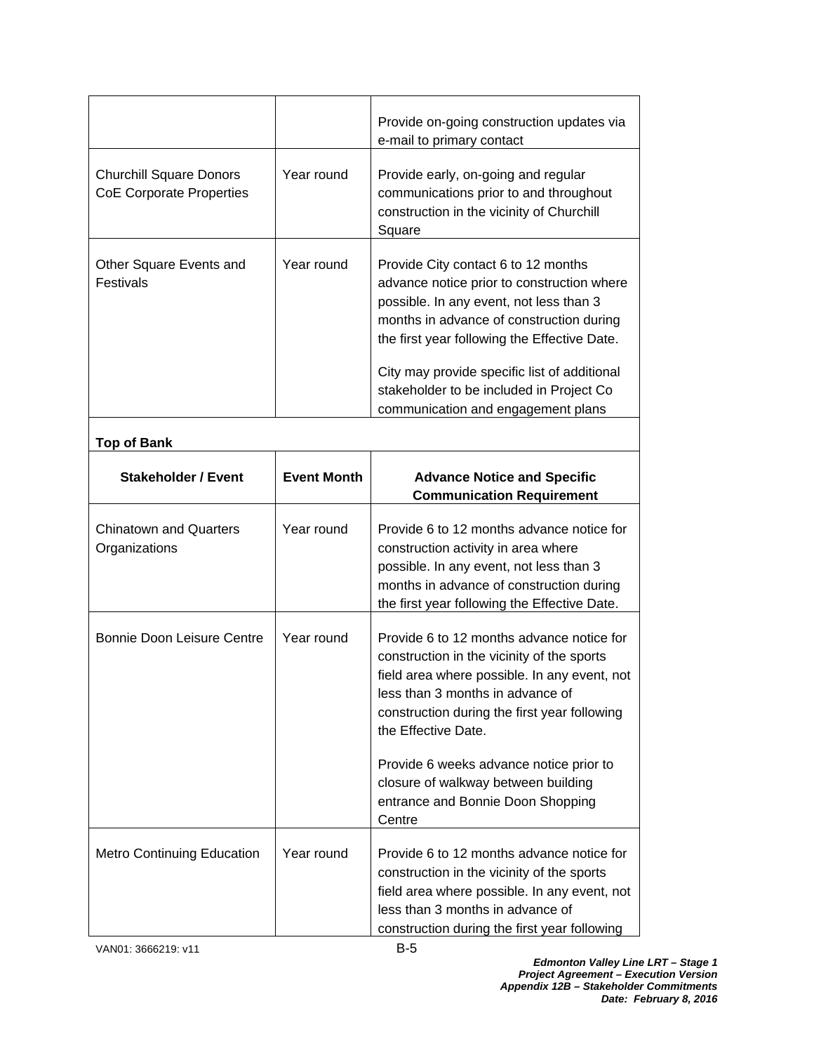|                                                                   |            | Provide on-going construction updates via<br>e-mail to primary contact                                                                                                                                                                                                                                                                                     |
|-------------------------------------------------------------------|------------|------------------------------------------------------------------------------------------------------------------------------------------------------------------------------------------------------------------------------------------------------------------------------------------------------------------------------------------------------------|
| <b>Churchill Square Donors</b><br><b>CoE Corporate Properties</b> | Year round | Provide early, on-going and regular<br>communications prior to and throughout<br>construction in the vicinity of Churchill<br>Square                                                                                                                                                                                                                       |
| Other Square Events and<br><b>Festivals</b>                       | Year round | Provide City contact 6 to 12 months<br>advance notice prior to construction where<br>possible. In any event, not less than 3<br>months in advance of construction during<br>the first year following the Effective Date.<br>City may provide specific list of additional<br>stakeholder to be included in Project Co<br>communication and engagement plans |

| <b>Top of Bank</b>                             |                    |                                                                                                                                                                                                                                                                                                                                                                           |
|------------------------------------------------|--------------------|---------------------------------------------------------------------------------------------------------------------------------------------------------------------------------------------------------------------------------------------------------------------------------------------------------------------------------------------------------------------------|
| <b>Stakeholder / Event</b>                     | <b>Event Month</b> | <b>Advance Notice and Specific</b><br><b>Communication Requirement</b>                                                                                                                                                                                                                                                                                                    |
| <b>Chinatown and Quarters</b><br>Organizations | Year round         | Provide 6 to 12 months advance notice for<br>construction activity in area where<br>possible. In any event, not less than 3<br>months in advance of construction during<br>the first year following the Effective Date.                                                                                                                                                   |
| Bonnie Doon Leisure Centre                     | Year round         | Provide 6 to 12 months advance notice for<br>construction in the vicinity of the sports<br>field area where possible. In any event, not<br>less than 3 months in advance of<br>construction during the first year following<br>the Effective Date.<br>Provide 6 weeks advance notice prior to<br>closure of walkway between building<br>entrance and Bonnie Doon Shopping |
| <b>Metro Continuing Education</b>              | Year round         | Centre<br>Provide 6 to 12 months advance notice for<br>construction in the vicinity of the sports<br>field area where possible. In any event, not<br>less than 3 months in advance of<br>construction during the first year following                                                                                                                                     |

VAN01: 3666219: v11 B-5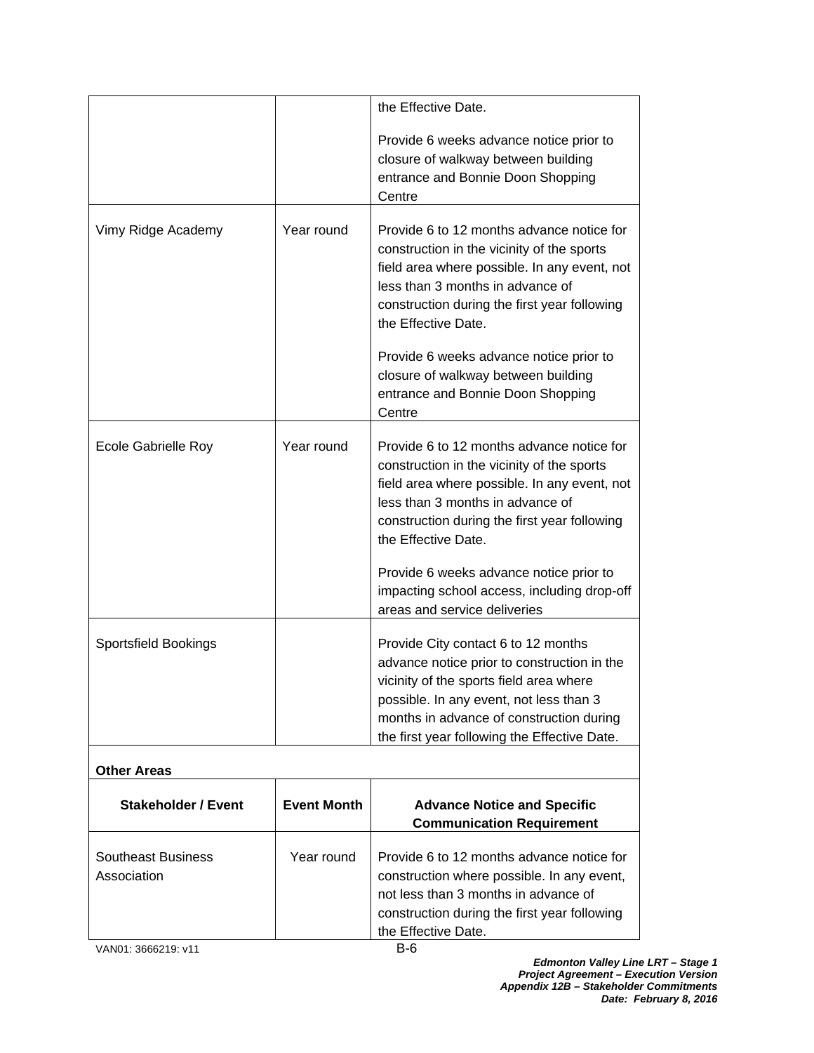|                                          |                    | the Effective Date.                                                                                                                                                                                                                                                  |
|------------------------------------------|--------------------|----------------------------------------------------------------------------------------------------------------------------------------------------------------------------------------------------------------------------------------------------------------------|
|                                          |                    | Provide 6 weeks advance notice prior to<br>closure of walkway between building<br>entrance and Bonnie Doon Shopping<br>Centre                                                                                                                                        |
| Vimy Ridge Academy                       | Year round         | Provide 6 to 12 months advance notice for<br>construction in the vicinity of the sports<br>field area where possible. In any event, not<br>less than 3 months in advance of<br>construction during the first year following<br>the Effective Date.                   |
|                                          |                    | Provide 6 weeks advance notice prior to<br>closure of walkway between building<br>entrance and Bonnie Doon Shopping<br>Centre                                                                                                                                        |
| Ecole Gabrielle Roy                      | Year round         | Provide 6 to 12 months advance notice for<br>construction in the vicinity of the sports<br>field area where possible. In any event, not<br>less than 3 months in advance of<br>construction during the first year following<br>the Effective Date.                   |
|                                          |                    | Provide 6 weeks advance notice prior to<br>impacting school access, including drop-off<br>areas and service deliveries                                                                                                                                               |
| <b>Sportsfield Bookings</b>              |                    | Provide City contact 6 to 12 months<br>advance notice prior to construction in the<br>vicinity of the sports field area where<br>possible. In any event, not less than 3<br>months in advance of construction during<br>the first year following the Effective Date. |
| <b>Other Areas</b>                       |                    |                                                                                                                                                                                                                                                                      |
| <b>Stakeholder / Event</b>               | <b>Event Month</b> | <b>Advance Notice and Specific</b><br><b>Communication Requirement</b>                                                                                                                                                                                               |
| <b>Southeast Business</b><br>Association | Year round         | Provide 6 to 12 months advance notice for<br>construction where possible. In any event,<br>not less than 3 months in advance of<br>construction during the first year following<br>the Effective Date.                                                               |
| VAN01: 3666219: v11                      |                    | $B-6$                                                                                                                                                                                                                                                                |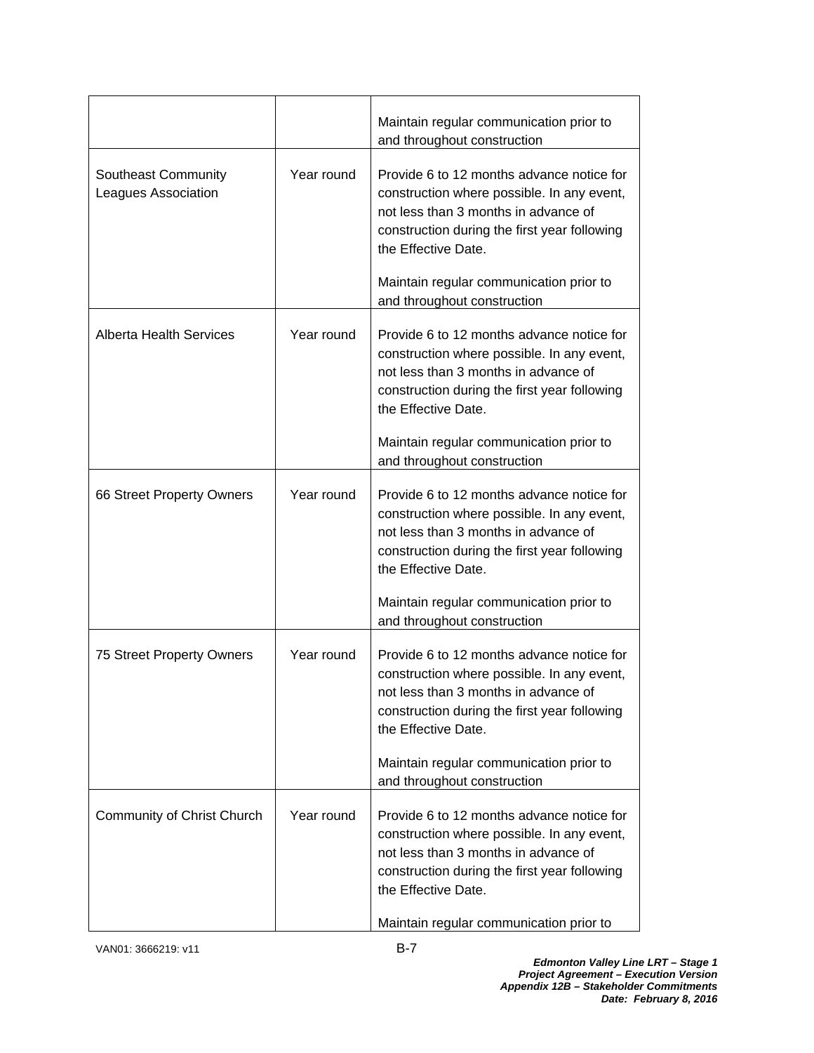|                                            |            | Maintain regular communication prior to<br>and throughout construction                                                                                                                                 |
|--------------------------------------------|------------|--------------------------------------------------------------------------------------------------------------------------------------------------------------------------------------------------------|
| Southeast Community<br>Leagues Association | Year round | Provide 6 to 12 months advance notice for<br>construction where possible. In any event,<br>not less than 3 months in advance of<br>construction during the first year following<br>the Effective Date. |
|                                            |            | Maintain regular communication prior to<br>and throughout construction                                                                                                                                 |
| <b>Alberta Health Services</b>             | Year round | Provide 6 to 12 months advance notice for<br>construction where possible. In any event,<br>not less than 3 months in advance of<br>construction during the first year following<br>the Effective Date. |
|                                            |            | Maintain regular communication prior to<br>and throughout construction                                                                                                                                 |
| 66 Street Property Owners                  | Year round | Provide 6 to 12 months advance notice for<br>construction where possible. In any event,<br>not less than 3 months in advance of<br>construction during the first year following<br>the Effective Date. |
|                                            |            | Maintain regular communication prior to<br>and throughout construction                                                                                                                                 |
| 75 Street Property Owners                  | Year round | Provide 6 to 12 months advance notice for<br>construction where possible. In any event,<br>not less than 3 months in advance of<br>construction during the first year following<br>the Effective Date. |
|                                            |            | Maintain regular communication prior to<br>and throughout construction                                                                                                                                 |
| Community of Christ Church                 | Year round | Provide 6 to 12 months advance notice for<br>construction where possible. In any event,<br>not less than 3 months in advance of<br>construction during the first year following<br>the Effective Date. |
|                                            |            | Maintain regular communication prior to                                                                                                                                                                |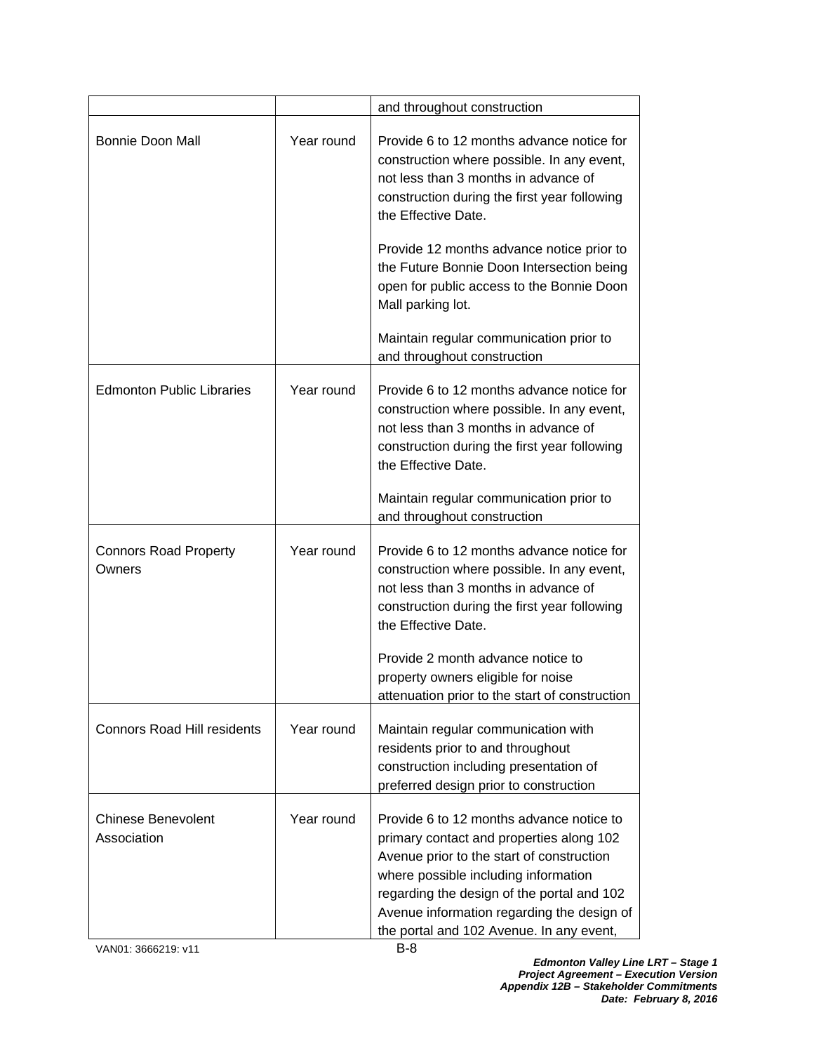|                                          |            | and throughout construction                                                                                                                                                                                                                                                                                       |
|------------------------------------------|------------|-------------------------------------------------------------------------------------------------------------------------------------------------------------------------------------------------------------------------------------------------------------------------------------------------------------------|
| <b>Bonnie Doon Mall</b>                  | Year round | Provide 6 to 12 months advance notice for<br>construction where possible. In any event,<br>not less than 3 months in advance of<br>construction during the first year following<br>the Effective Date.                                                                                                            |
|                                          |            | Provide 12 months advance notice prior to<br>the Future Bonnie Doon Intersection being<br>open for public access to the Bonnie Doon<br>Mall parking lot.                                                                                                                                                          |
|                                          |            | Maintain regular communication prior to<br>and throughout construction                                                                                                                                                                                                                                            |
| <b>Edmonton Public Libraries</b>         | Year round | Provide 6 to 12 months advance notice for<br>construction where possible. In any event,<br>not less than 3 months in advance of<br>construction during the first year following<br>the Effective Date.                                                                                                            |
|                                          |            | Maintain regular communication prior to<br>and throughout construction                                                                                                                                                                                                                                            |
| <b>Connors Road Property</b><br>Owners   | Year round | Provide 6 to 12 months advance notice for<br>construction where possible. In any event,<br>not less than 3 months in advance of<br>construction during the first year following<br>the Effective Date.                                                                                                            |
|                                          |            | Provide 2 month advance notice to<br>property owners eligible for noise<br>attenuation prior to the start of construction                                                                                                                                                                                         |
| <b>Connors Road Hill residents</b>       | Year round | Maintain regular communication with<br>residents prior to and throughout<br>construction including presentation of<br>preferred design prior to construction                                                                                                                                                      |
| <b>Chinese Benevolent</b><br>Association | Year round | Provide 6 to 12 months advance notice to<br>primary contact and properties along 102<br>Avenue prior to the start of construction<br>where possible including information<br>regarding the design of the portal and 102<br>Avenue information regarding the design of<br>the portal and 102 Avenue. In any event, |

VAN01: 3666219: v11 B-8